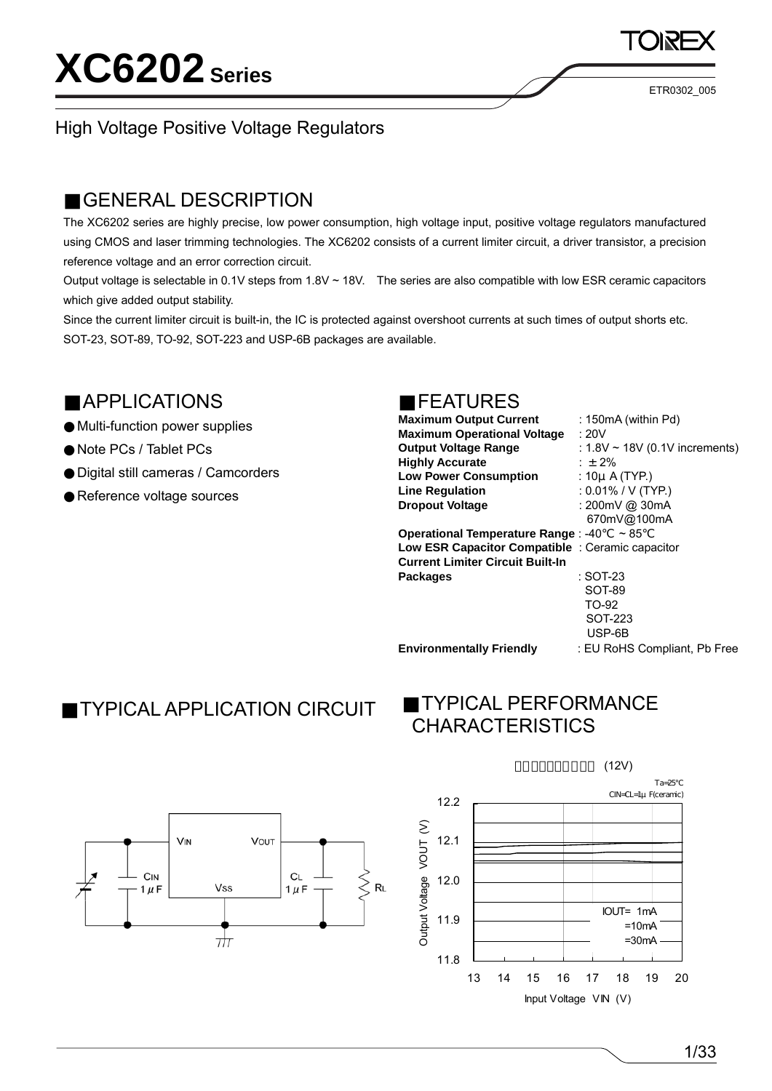ETR0302\_005

### High Voltage Positive Voltage Regulators

### GENERAL DESCRIPTION

The XC6202 series are highly precise, low power consumption, high voltage input, positive voltage regulators manufactured using CMOS and laser trimming technologies. The XC6202 consists of a current limiter circuit, a driver transistor, a precision reference voltage and an error correction circuit.

Output voltage is selectable in 0.1V steps from  $1.8V \sim 18V$ . The series are also compatible with low ESR ceramic capacitors which give added output stability.

Since the current limiter circuit is built-in, the IC is protected against overshoot currents at such times of output shorts etc. SOT-23, SOT-89, TO-92, SOT-223 and USP-6B packages are available.

### APPLICATIONS

Multi-function power supplies Note PCs / Tablet PCs Digital still cameras / Camcorders Reference voltage sources

### FEATURES

| <b>Maximum Output Current</b><br><b>Maximum Operational Voltage</b><br><b>Output Voltage Range</b><br><b>Highly Accurate</b><br><b>Low Power Consumption</b><br><b>Line Regulation</b><br><b>Dropout Voltage</b> | : 150mA (within Pd)<br>:20V<br>: $1.8V \sim 18V$ (0.1V increments)<br>: $\pm 2\%$<br>: $10\mu$ A (TYP.)<br>: $0.01\%$ / V (TYP.)<br>: 200mV @ 30mA<br>670mV@100mA |
|------------------------------------------------------------------------------------------------------------------------------------------------------------------------------------------------------------------|-------------------------------------------------------------------------------------------------------------------------------------------------------------------|
| <b>Operational Temperature Range: -40</b><br>Low ESR Capacitor Compatible : Ceramic capacitor                                                                                                                    | $~\sim 85$                                                                                                                                                        |
| <b>Current Limiter Circuit Built-In</b>                                                                                                                                                                          |                                                                                                                                                                   |
| <b>Packages</b>                                                                                                                                                                                                  | : SOT-23                                                                                                                                                          |
|                                                                                                                                                                                                                  | SOT-89                                                                                                                                                            |
|                                                                                                                                                                                                                  | TO-92                                                                                                                                                             |
|                                                                                                                                                                                                                  | SOT-223                                                                                                                                                           |
|                                                                                                                                                                                                                  | USP-6B                                                                                                                                                            |

**Environmentally Friendly** : EU RoHS Compliant, Pb Free

### TYPICAL APPLICATION CIRCUIT

### TYPICAL PERFORMANCE **CHARACTERISTICS**



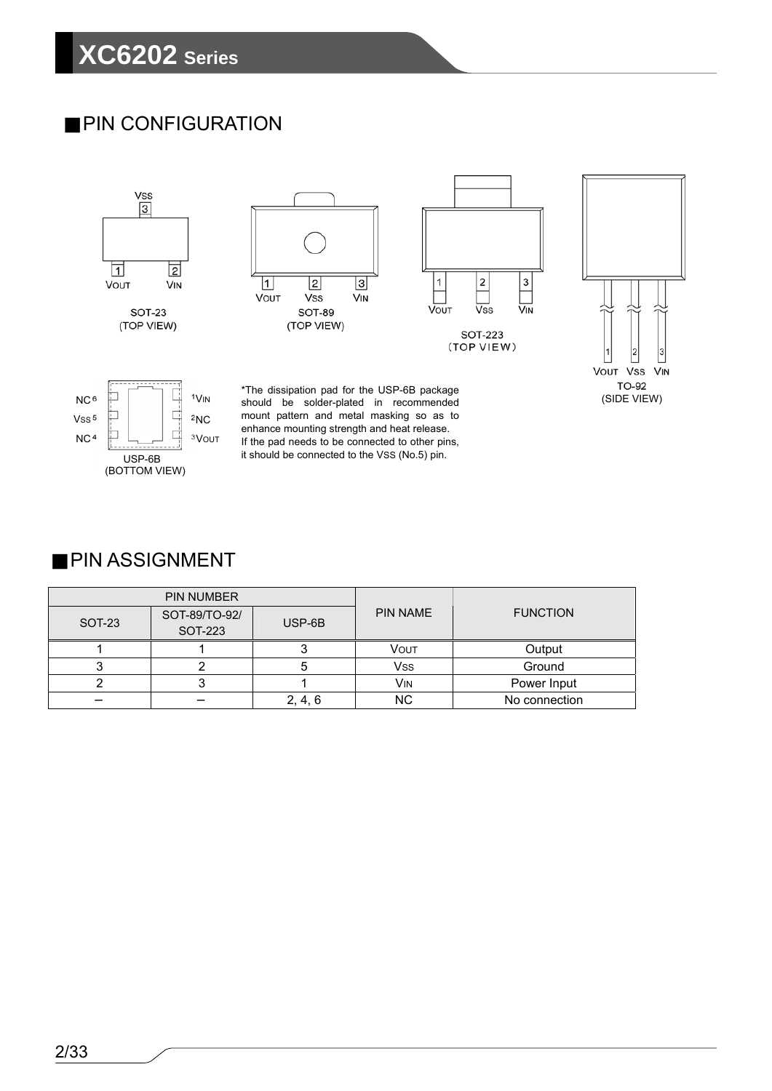### PIN CONFIGURATION



### PIN ASSIGNMENT

|        | <b>PIN NUMBER</b>        |         |                 |                 |  |
|--------|--------------------------|---------|-----------------|-----------------|--|
| SOT-23 | SOT-89/TO-92/<br>SOT-223 | USP-6B  | <b>PIN NAME</b> | <b>FUNCTION</b> |  |
|        |                          |         | <b>VOUT</b>     | Output          |  |
| ີ      |                          | э       | Vss             | Ground          |  |
|        |                          |         | Vin             | Power Input     |  |
|        |                          | 2, 4, 6 | <b>NC</b>       | No connection   |  |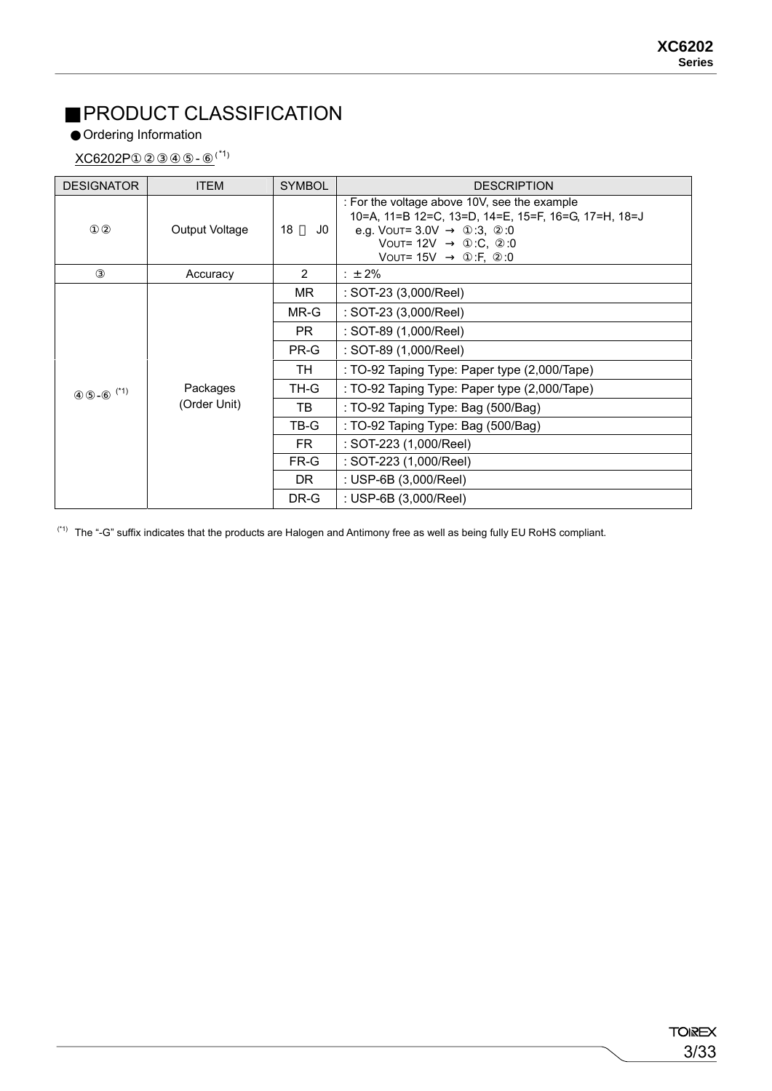## PRODUCT CLASSIFICATION

Ordering Information

 $XCG202P$  -  $(1)$ 

| <b>DESIGNATOR</b> | <b>ITEM</b>    | <b>SYMBOL</b>  | <b>DESCRIPTION</b>                                                                                                                                                                  |
|-------------------|----------------|----------------|-------------------------------------------------------------------------------------------------------------------------------------------------------------------------------------|
|                   | Output Voltage | 18<br>J0       | : For the voltage above 10V, see the example<br>10=A, 11=B 12=C, 13=D, 14=E, 15=F, 16=G, 17=H, 18=J<br>e.g. Vouт= 3.0V<br>:3,<br>:0<br>Vout= 12V<br>:C, 0<br>:F,<br>Vout= 15V<br>:0 |
|                   | Accuracy       | $\overline{2}$ | : $\pm 2\%$                                                                                                                                                                         |
|                   |                | MR.            | : SOT-23 (3,000/Reel)                                                                                                                                                               |
|                   |                | MR-G           | : SOT-23 (3,000/Reel)                                                                                                                                                               |
|                   |                | PR.            | : SOT-89 (1,000/Reel)                                                                                                                                                               |
|                   |                | PR-G           | : SOT-89 (1,000/Reel)                                                                                                                                                               |
|                   |                | TH             | : TO-92 Taping Type: Paper type (2,000/Tape)                                                                                                                                        |
| $(*1)$            | Packages       | TH-G           | : TO-92 Taping Type: Paper type (2,000/Tape)                                                                                                                                        |
|                   | (Order Unit)   | TB             | : TO-92 Taping Type: Bag (500/Bag)                                                                                                                                                  |
|                   |                | TB-G           | : TO-92 Taping Type: Bag (500/Bag)                                                                                                                                                  |
|                   |                | FR.            | : SOT-223 (1,000/Reel)                                                                                                                                                              |
|                   |                | FR-G           | : SOT-223 (1,000/Reel)                                                                                                                                                              |
|                   |                | DR.            | : USP-6B (3,000/Reel)                                                                                                                                                               |
|                   |                | DR-G           | : USP-6B (3,000/Reel)                                                                                                                                                               |

(\*1) The "-G" suffix indicates that the products are Halogen and Antimony free as well as being fully EU RoHS compliant.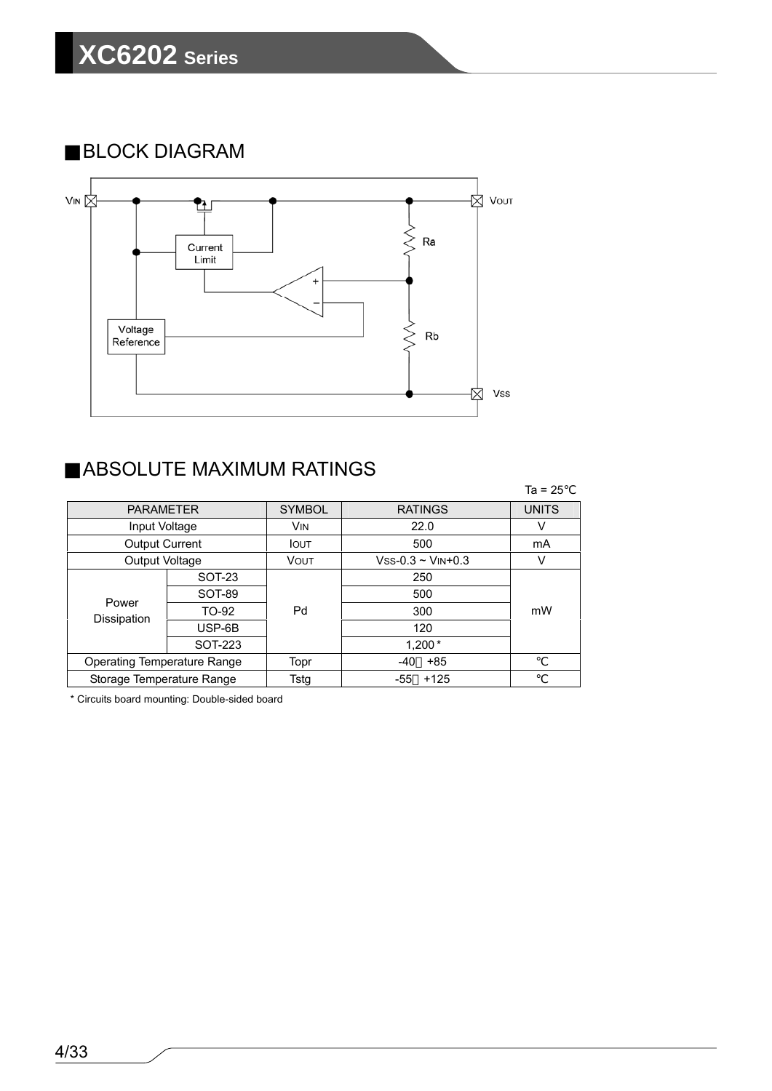BLOCK DIAGRAM



## ABSOLUTE MAXIMUM RATINGS

|                                    |         |               |                           | $Ta = 25$    |
|------------------------------------|---------|---------------|---------------------------|--------------|
| <b>PARAMETER</b>                   |         | <b>SYMBOL</b> | <b>RATINGS</b>            | <b>UNITS</b> |
| Input Voltage                      |         | <b>VIN</b>    | 22.0                      | v            |
| <b>Output Current</b>              |         | <b>IOUT</b>   | 500                       | mA           |
| Output Voltage                     |         | VOUT          | $Vss-0.3 \sim V_{IN}+0.3$ | v            |
|                                    | SOT-23  |               | 250                       |              |
| Power                              | SOT-89  |               | 500                       |              |
| Dissipation                        | TO-92   | Pd            | 300                       | mW           |
|                                    | USP-6B  |               | 120                       |              |
|                                    | SOT-223 |               | $1,200*$                  |              |
| <b>Operating Temperature Range</b> |         | Topr          | $+85$<br>$-40$            |              |
| Storage Temperature Range          |         | Tstg          | $+125$<br>-55             |              |

\* Circuits board mounting: Double-sided board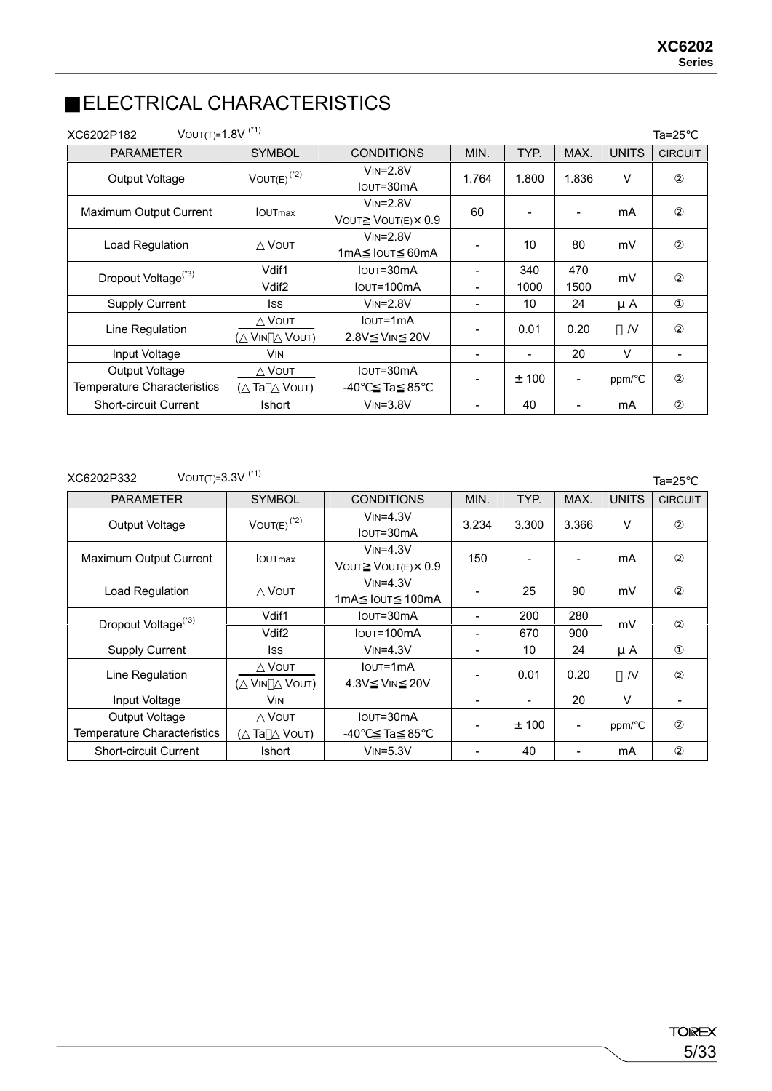Ta=25

### ELECTRICAL CHARACTERISTICS

| VOUT(T)= $1.8V$ <sup>(*1)</sup><br>XC6202P182 |                                    |                                                         |       |       |                          |                | Ta=25                    |
|-----------------------------------------------|------------------------------------|---------------------------------------------------------|-------|-------|--------------------------|----------------|--------------------------|
| <b>PARAMETER</b>                              | <b>SYMBOL</b>                      | <b>CONDITIONS</b>                                       | MIN.  | TYP.  | MAX.                     | <b>UNITS</b>   | <b>CIRCUIT</b>           |
| Output Voltage                                | $VOUT(E)^{(*2)}$                   | $VIN = 2.8V$<br>IOUT=30mA                               | 1.764 | 1.800 | 1.836                    | $\vee$         |                          |
| Maximum Output Current                        | <b>IOUTmax</b>                     | $VIN = 2.8V$<br>$V$ OUT $(E) \times 0.9$<br>VOUT        | 60    |       |                          | mA             |                          |
| Load Regulation                               | <b>VOUT</b>                        | $VIN = 2.8V$<br>IOUT 60mA<br>1mA                        |       | 10    | 80                       | mV             |                          |
| Dropout Voltage <sup>(*3)</sup>               | Vdif1                              | IOUT=30mA                                               |       | 340   | 470                      | mV             |                          |
|                                               | Vdif <sub>2</sub>                  | IOUT=100mA                                              | -     | 1000  | 1500                     |                |                          |
| <b>Supply Current</b>                         | lss                                | $V$ IN= $2.8V$                                          |       | 10    | 24                       | $\mu$ A        |                          |
| Line Regulation                               | <b>VOUT</b><br>VOUT)<br><b>VIN</b> | $I$ <sub>OUT</sub> $=1$ m $A$<br><b>VIN 20V</b><br>2.8V |       | 0.01  | 0.20                     | $\overline{N}$ |                          |
| Input Voltage                                 | <b>VIN</b>                         |                                                         |       |       | 20                       | V              | $\overline{\phantom{a}}$ |
| Output Voltage                                | VOUT                               | IOUT=30mA                                               |       | ± 100 | $\overline{\phantom{a}}$ | ppm/           |                          |
| Temperature Characteristics                   | Та<br>VOUT)                        | Ta 85<br>$-40$                                          |       |       |                          |                |                          |
| <b>Short-circuit Current</b>                  | Ishort                             | $VIN = 3.8V$                                            |       | 40    | -                        | mA             |                          |

### XC6202P332 VOUT(T)=3.3V (\*1)

PARAMETER | SYMBOL | CONDITIONS | MIN. | TYP. | MAX. | UNITS | CIRCUIT Output Voltage  $V = V \cdot V = 4.3V$  $\begin{array}{|c|c|c|c|c|c|c|c|} \hline \text{VIN} =4.3 \text{V} & 3.234 & 3.300 & 3.366 & V \\ \hline \text{IOUT=30mA} & 3.234 & 3.300 & 3.366 & V \end{array}$ Maximum Output Current | IOUTmax  $VIN = 4.3V$ VIN-4.3V  $\begin{array}{|c|c|c|c|c|c|c|c|c|} \hline \text{VOUT VOUT(E)} \times 0.9 & 150 & - & - & \end{array}$  - MA Load Regulation | VOUT VIN=4.3V  $1 \text{ mA}$   $1 \text{ OUT}$   $100 \text{ mA}$   $25$   $90$   $\text{ mV}$ Propout Voltage<sup>(\*3)</sup> Vdif1 1 IOUT=30mA - 200 280 Iout=100mA mV Supply Current ISS VIN=4.3V - 10 24 μA Line Regulation  $\Bigg| \begin{array}{c} \sqrt{\text{OUT}} \\ \sqrt{\text{V}} \end{array}$ VOUT) IOUT=1mA  $4.3V$  Vin 20V  $\begin{array}{|c|c|c|c|c|c|c|c|} \hline 1.3V & Vin & 20V & - & 0.01 & 0.20 & \mathcal{N} \ \hline \end{array}$ Input Voltage VIN - - 20 V - Output Voltage Temperature Characteristics **VOUT** (Ta Vout) IOUT=30mA  $-40$  Ta 85  $\vert$  -  $\vert$  ± 100  $\vert$  -  $\vert$  ppm/ Short-circuit Current | Ishort | VIN=5.3V | - | 40 | - | mA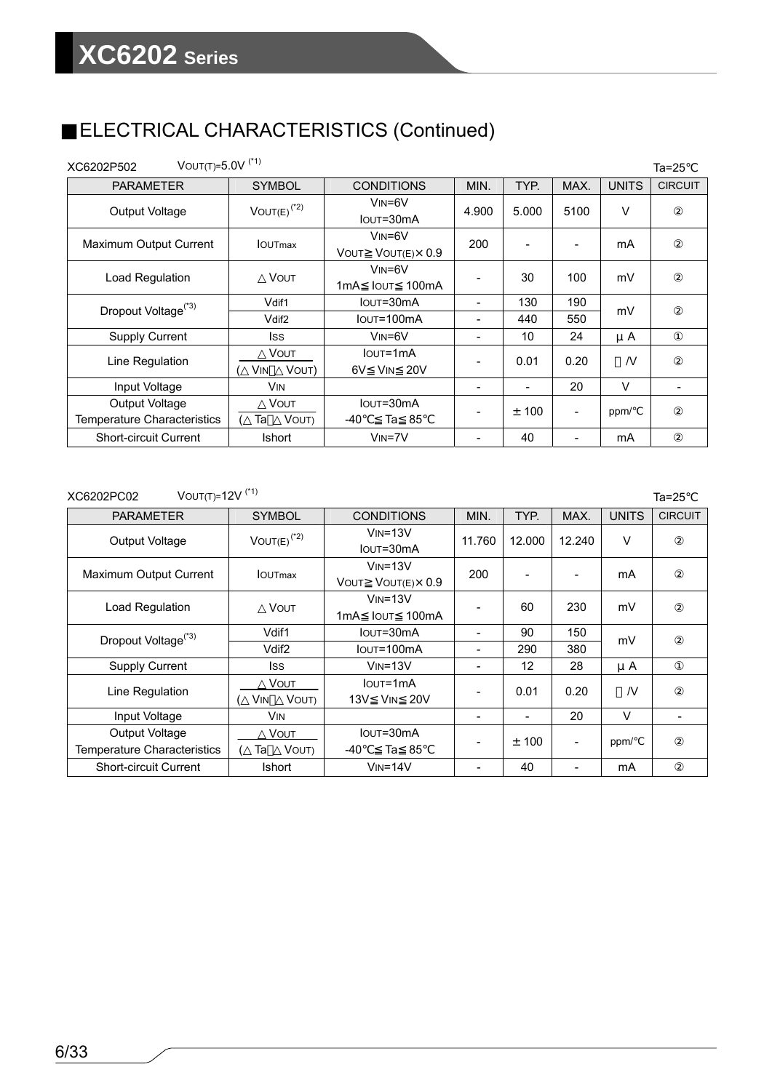## ELECTRICAL CHARACTERISTICS (Continued)

| VOUT(T)= $5.0V$ <sup>(*1)</sup><br>XC6202P502 |                             |                                                           |                |       |                |                | $Ta=25$        |
|-----------------------------------------------|-----------------------------|-----------------------------------------------------------|----------------|-------|----------------|----------------|----------------|
| <b>PARAMETER</b>                              | <b>SYMBOL</b>               | <b>CONDITIONS</b>                                         | MIN.           | TYP.  | MAX.           | <b>UNITS</b>   | <b>CIRCUIT</b> |
| Output Voltage                                | $VOUT(E)^{(*2)}$            | $VIN = 6V$<br>IOUT=30mA                                   | 4.900          | 5.000 | 5100           | V              |                |
| Maximum Output Current                        | <b>IOUTmax</b>              | $V$ <sub>IN</sub> =6V<br>$V$ OUT $(E) \times 0.9$<br>VOUT | 200            |       | $\blacksquare$ | mA             |                |
| Load Regulation                               | <b>VOUT</b>                 | $V$ <sub>IN</sub> = $6V$<br>100mA<br>1mA<br><b>I</b> OUT  |                | 30    | 100            | mV             |                |
| Dropout Voltage <sup>(*3)</sup>               | Vdif1                       | IOUT=30mA                                                 | $\blacksquare$ | 130   | 190            | mV             |                |
|                                               | Vdif <sub>2</sub>           | IOUT=100mA                                                |                | 440   | 550            |                |                |
| <b>Supply Current</b>                         | lss                         | $VIN = 6V$                                                |                | 10    | 24             | $\mu$ A        |                |
| Line Regulation                               | VOUT<br>VOUT)<br><b>VIN</b> | $I$ <sub>OUT</sub> =1 $mA$<br>6V<br><b>VIN 20V</b>        |                | 0.01  | 0.20           | $\overline{N}$ |                |
| Input Voltage                                 | <b>VIN</b>                  |                                                           | $\blacksquare$ |       | 20             | V              |                |
| Output Voltage<br>Temperature Characteristics | VOUT<br>Та<br>VOUT)         | IOUT=30mA<br>-40<br>Ta 85                                 |                | ± 100 | $\blacksquare$ | ppm/           |                |
| <b>Short-circuit Current</b>                  | <b>Ishort</b>               | $VIN = 7V$                                                |                | 40    | -              | mA             |                |

### $XC6202PC02$  VOUT(T)=12V <sup>(\*1)</sup> Ta=25

| <b>PARAMETER</b>                              | <b>SYMBOL</b>               | <b>CONDITIONS</b>                                     | MIN.                     | TYP.   | MAX.                         | <b>UNITS</b> | <b>CIRCUIT</b> |
|-----------------------------------------------|-----------------------------|-------------------------------------------------------|--------------------------|--------|------------------------------|--------------|----------------|
| <b>Output Voltage</b>                         | $VOUT(E)$ <sup>(*2)</sup>   | $VIN = 13V$<br>IOUT=30mA                              | 11.760                   | 12.000 | 12.240                       | V            |                |
| Maximum Output Current                        | <b>IOUTmax</b>              | $VIN = 13V$<br>$V$ OUT(E) $\times$ 0.9<br><b>VOUT</b> | 200                      |        |                              | mA           |                |
| Load Regulation                               | <b>VOUT</b>                 | $V_{IN} = 13V$<br>100mA<br>1mA<br>lout                |                          | 60     | 230                          | mV           |                |
| Dropout Voltage <sup>(*3)</sup>               | Vdif1                       | $I$ OUT= $30$ m $A$                                   | $\overline{\phantom{0}}$ | 90     | 150                          | mV           |                |
|                                               | Vdif <sub>2</sub>           | IOUT=100mA                                            | -                        | 290    | 380                          |              |                |
| <b>Supply Current</b>                         | lss                         | $VIN = 13V$                                           | -                        | 12     | 28                           | $\mu$ A      |                |
| Line Regulation                               | Vout<br>VOUT)<br><b>VIN</b> | <b>IOUT=1mA</b><br><b>VIN 20V</b><br>13V              |                          | 0.01   | 0.20                         | N.           |                |
| Input Voltage                                 | <b>VIN</b>                  |                                                       | $\overline{\phantom{a}}$ |        | 20                           | V            |                |
| Output Voltage<br>Temperature Characteristics | VOUT<br>VOUT)<br>Та         | IOUT=30mA<br>Ta 85<br>-40                             | $\overline{\phantom{a}}$ | ± 100  | -                            | ppm/         |                |
| <b>Short-circuit Current</b>                  | Ishort                      | $VIN = 14V$                                           | -                        | 40     | $\qquad \qquad \blacksquare$ | mA           |                |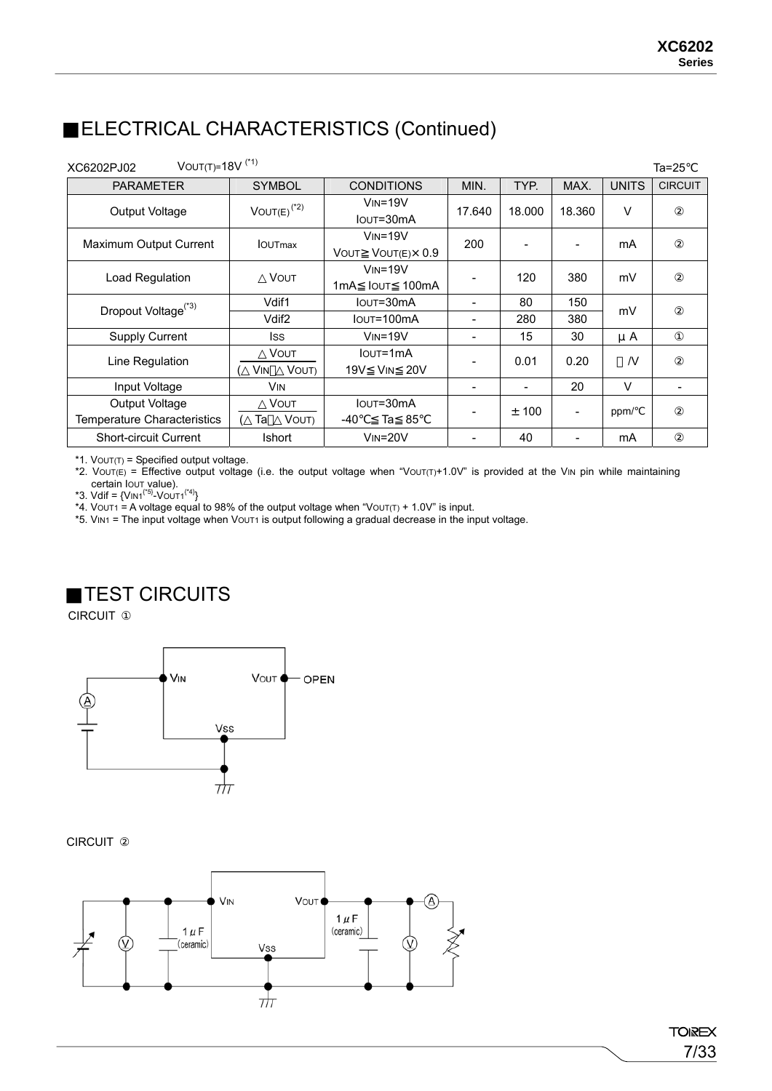## ELECTRICAL CHARACTERISTICS (Continued)

| VOUT(T)= $18V$ <sup>(*1)</sup><br>XC6202PJ02  |                                    |                                                         |                          |        |                          |                | $Ta=25$        |
|-----------------------------------------------|------------------------------------|---------------------------------------------------------|--------------------------|--------|--------------------------|----------------|----------------|
| <b>PARAMETER</b>                              | <b>SYMBOL</b>                      | <b>CONDITIONS</b>                                       | MIN.                     | TYP.   | MAX.                     | <b>UNITS</b>   | <b>CIRCUIT</b> |
| Output Voltage                                | $VOUT(E)^{(*2)}$                   | $V_{IN} = 19V$<br>IOUT=30mA                             | 17.640                   | 18.000 | 18.360                   | V              |                |
| Maximum Output Current                        | <b>IOUTmax</b>                     | $V_{IN} = 19V$<br>$V$ OUT $(E) \times 0.9$<br>VOUT      | 200                      |        | $\overline{\phantom{0}}$ | mA             |                |
| Load Regulation                               | <b>VOUT</b>                        | $VIN = 19V$<br>100 <sub>m</sub> A<br>1mA<br><b>IOUT</b> |                          | 120    | 380                      | mV             |                |
| Dropout Voltage <sup>(*3)</sup>               | Vdif1                              | IOUT=30mA                                               |                          | 80     | 150                      | mV             |                |
|                                               | Vdif <sub>2</sub>                  | Iout=100mA                                              | -                        | 280    | 380                      |                |                |
| <b>Supply Current</b>                         | Iss                                | $V_{IN} = 19V$                                          | -                        | 15     | 30                       | $\mu$ A        |                |
| Line Regulation                               | <b>VOUT</b><br>VOUT)<br><b>VIN</b> | $I$ <sub>OU</sub> $T = 1$ mA<br>19V<br><b>VIN 20V</b>   | -                        | 0.01   | 0.20                     | $\overline{N}$ |                |
| Input Voltage                                 | <b>VIN</b>                         |                                                         | ۰                        |        | 20                       | $\vee$         |                |
| Output Voltage<br>Temperature Characteristics | VOUT<br>VOUT)<br>Та                | IOUT=30mA<br>Ta 85<br>-40                               | $\overline{\phantom{a}}$ | ± 100  | ÷                        | ppm/           |                |
| <b>Short-circuit Current</b>                  | <b>Ishort</b>                      | $VIN = 20V$                                             |                          | 40     |                          | mA             |                |

\*1. VOUT(T) = Specified output voltage.

\*2. Vout(E) = Effective output voltage (i.e. the output voltage when "Vout(T)+1.0V" is provided at the VIN pin while maintaining

certain Iout value).<br>\*3. Vdif = {Vin1<sup>{\*5}</sup>-Vout1<sup>{\*4}</sup>}

\*4. VOUT1 = A voltage equal to 98% of the output voltage when "VOUT(T) + 1.0V" is input.

\*5. VIN1 = The input voltage when VOUT1 is output following a gradual decrease in the input voltage.

### TEST CIRCUITS

CIRCUIT



### CIRCUIT

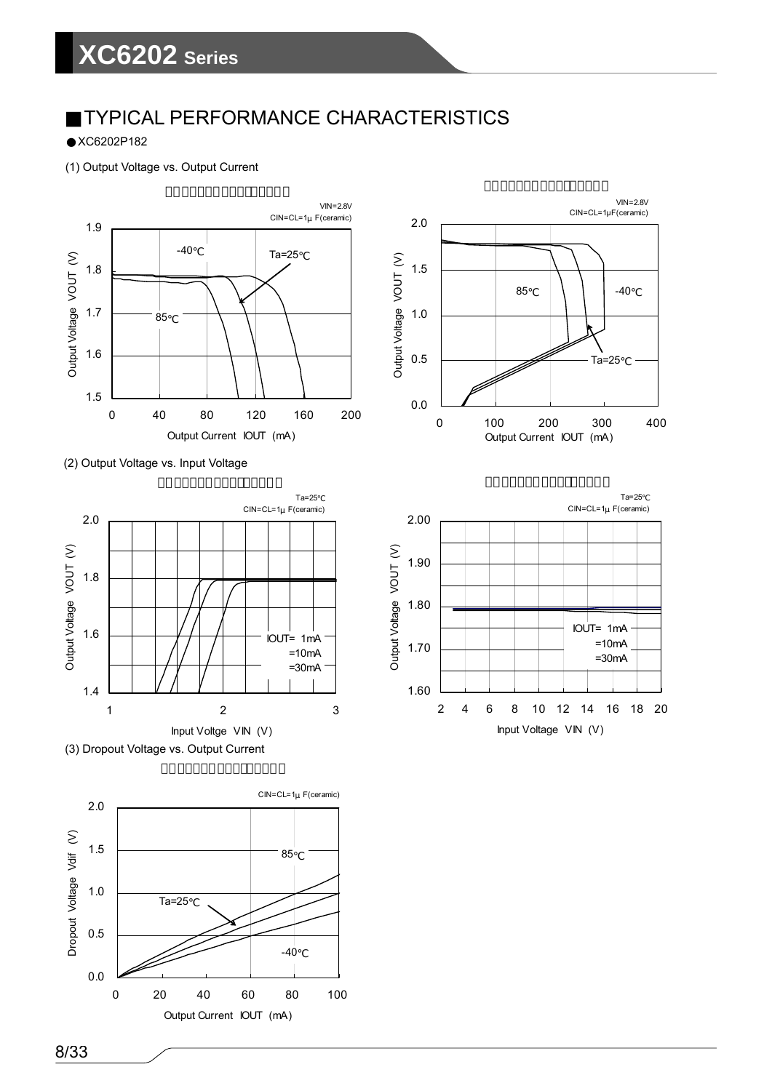### TYPICAL PERFORMANCE CHARACTERISTICS

XC6202P182

(1) Output Voltage vs. Output Current













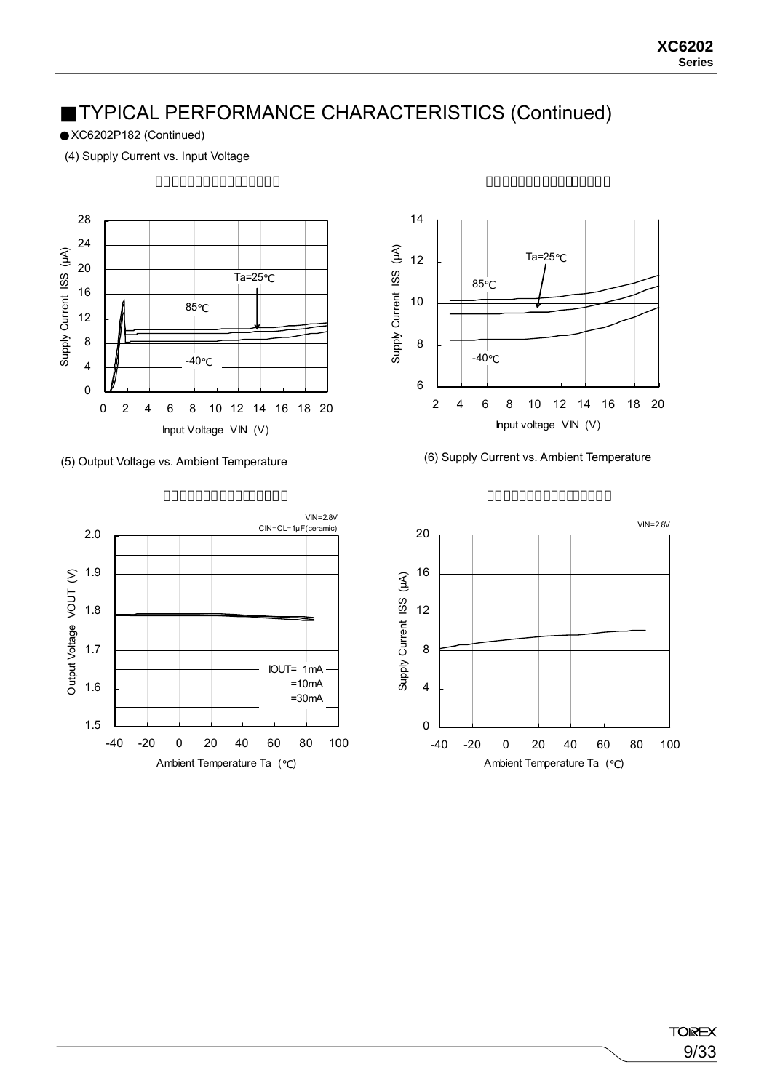XC6202P182 (Continued)

(4) Supply Current vs. Input Voltage







### (5) Output Voltage vs. Ambient Temperature (6) Supply Current vs. Ambient Temperature

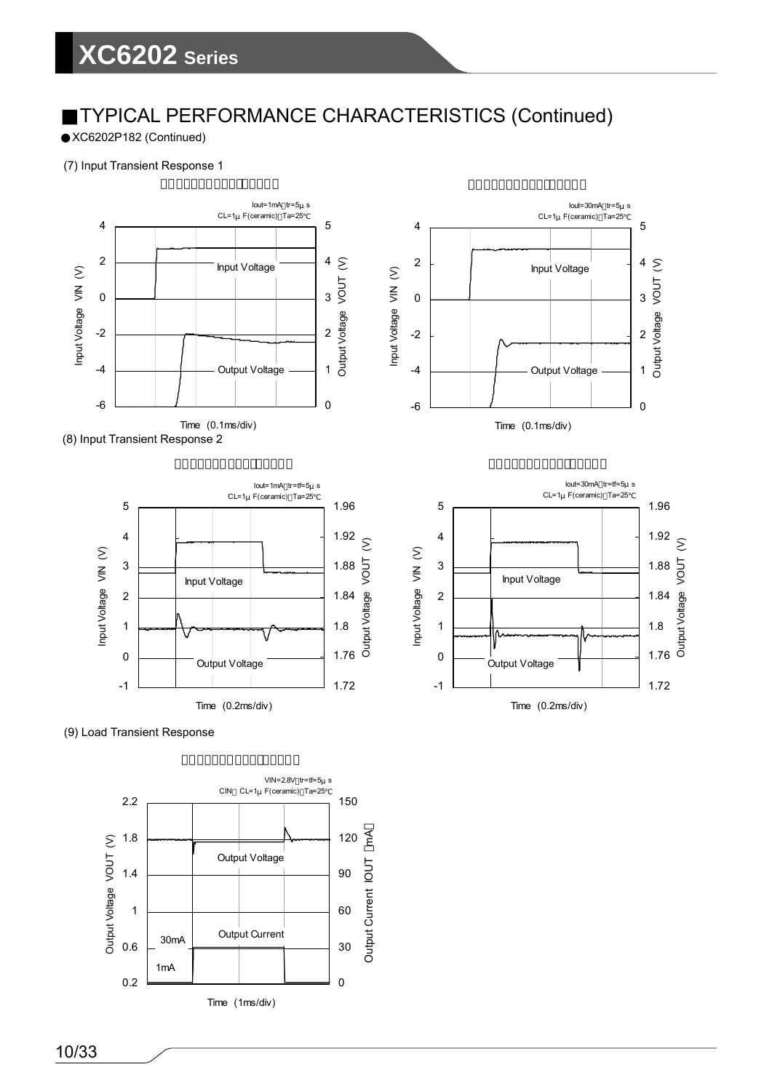XC6202P182 (Continued)

### (7) Input Transient Response 1



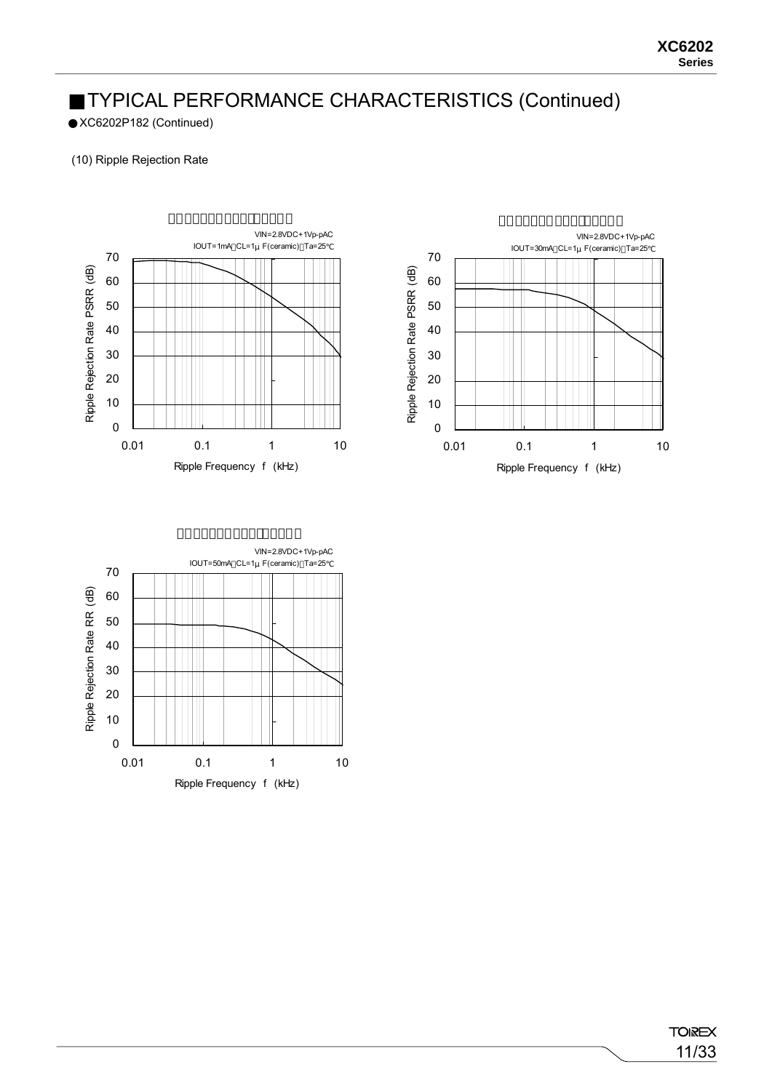XC6202P182 (Continued)

### (10) Ripple Rejection Rate





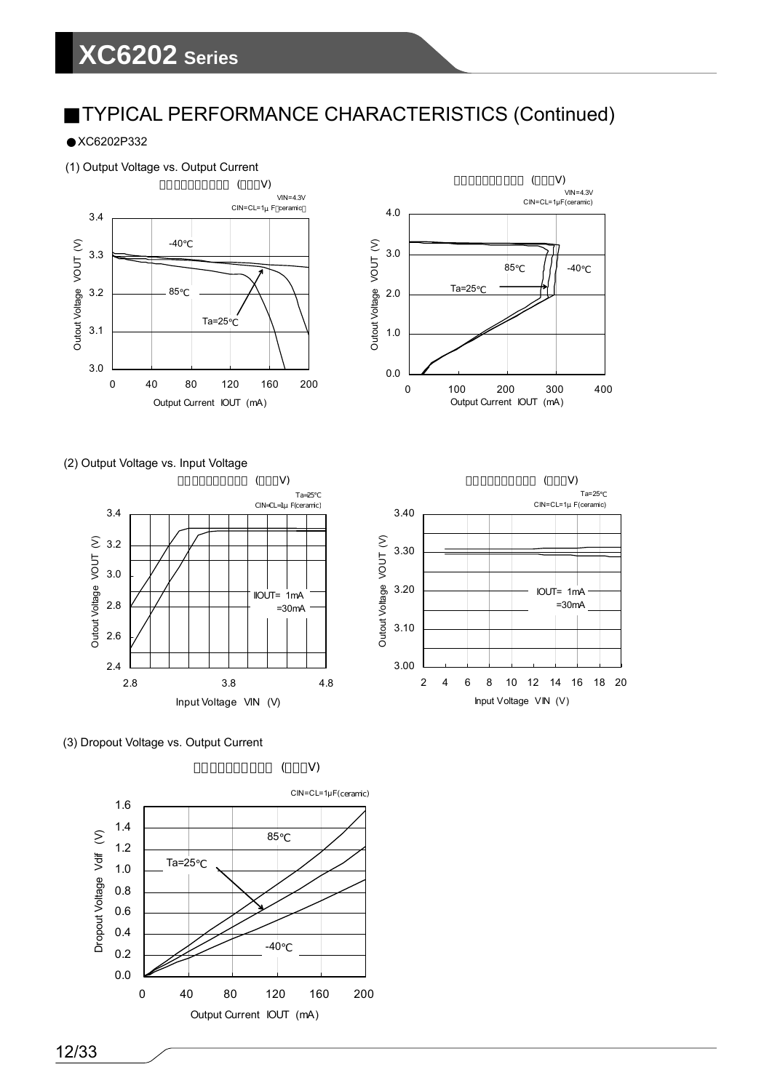XC6202P332

### (1) Output Voltage vs. Output Current





(2) Output Voltage vs. Input Voltage





(3) Dropout Voltage vs. Output Current

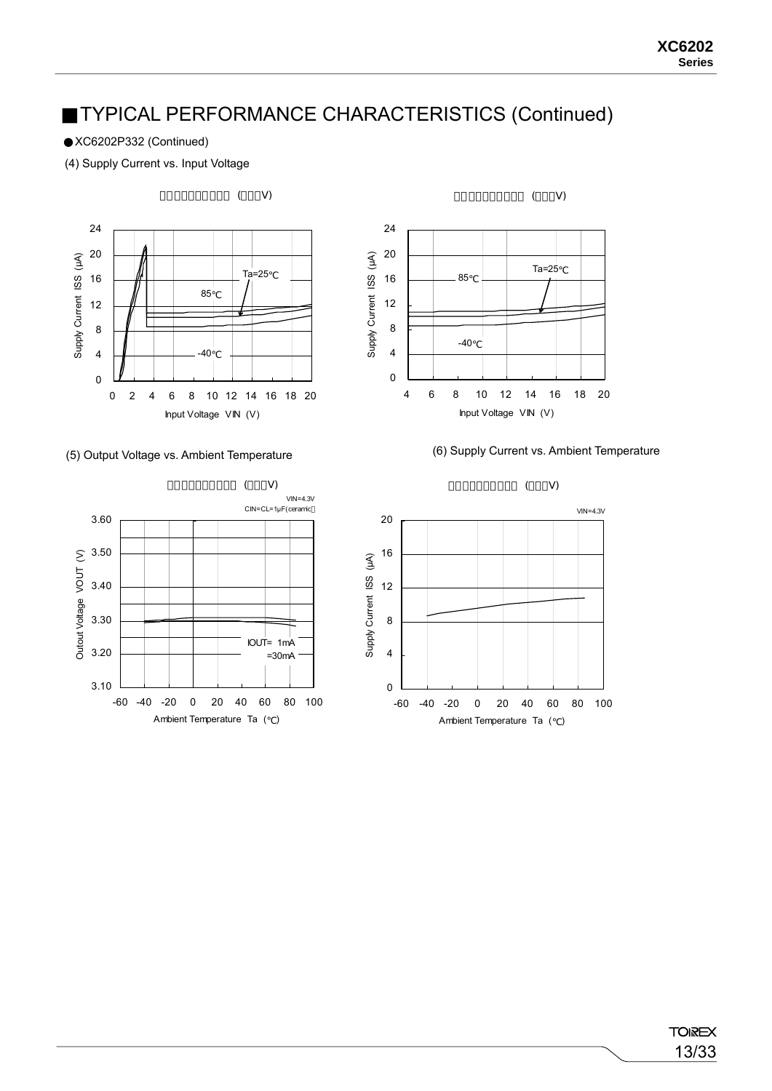XC6202P332 (Continued)

(4) Supply Current vs. Input Voltage













**TOIREX** 13/33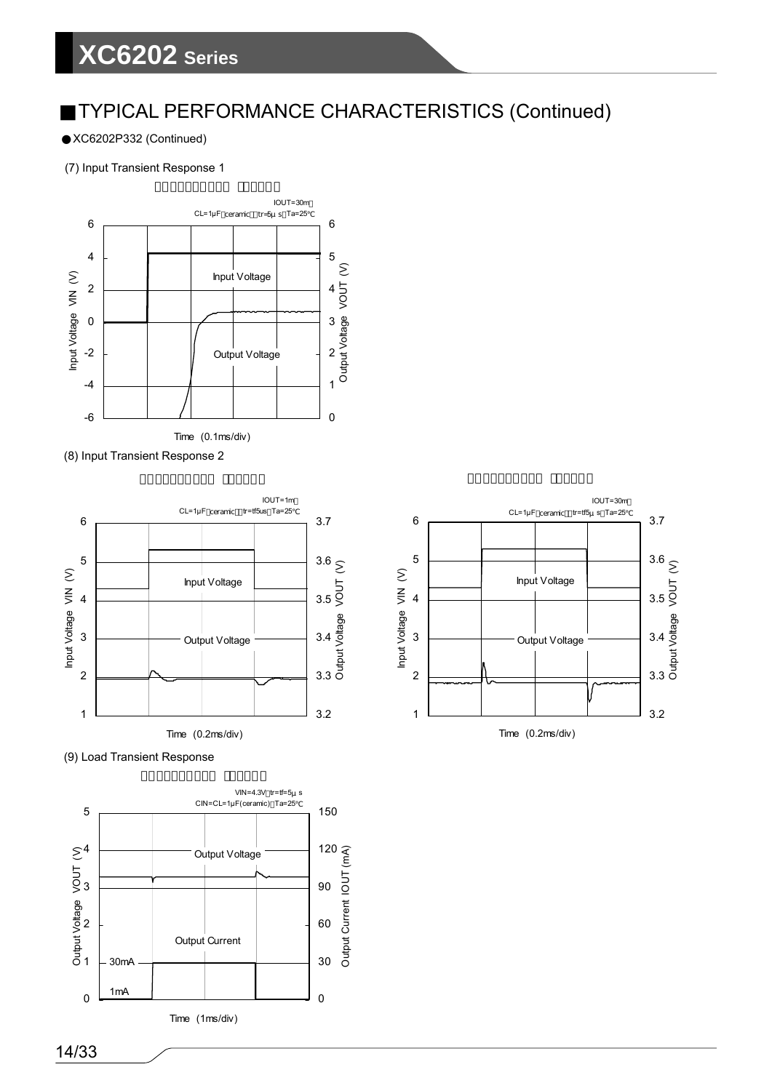## **XC6202 Series**

### TYPICAL PERFORMANCE CHARACTERISTICS (Continued)

XC6202P332 (Continued)

### (7) Input Transient Response 1







(9) Load Transient Response



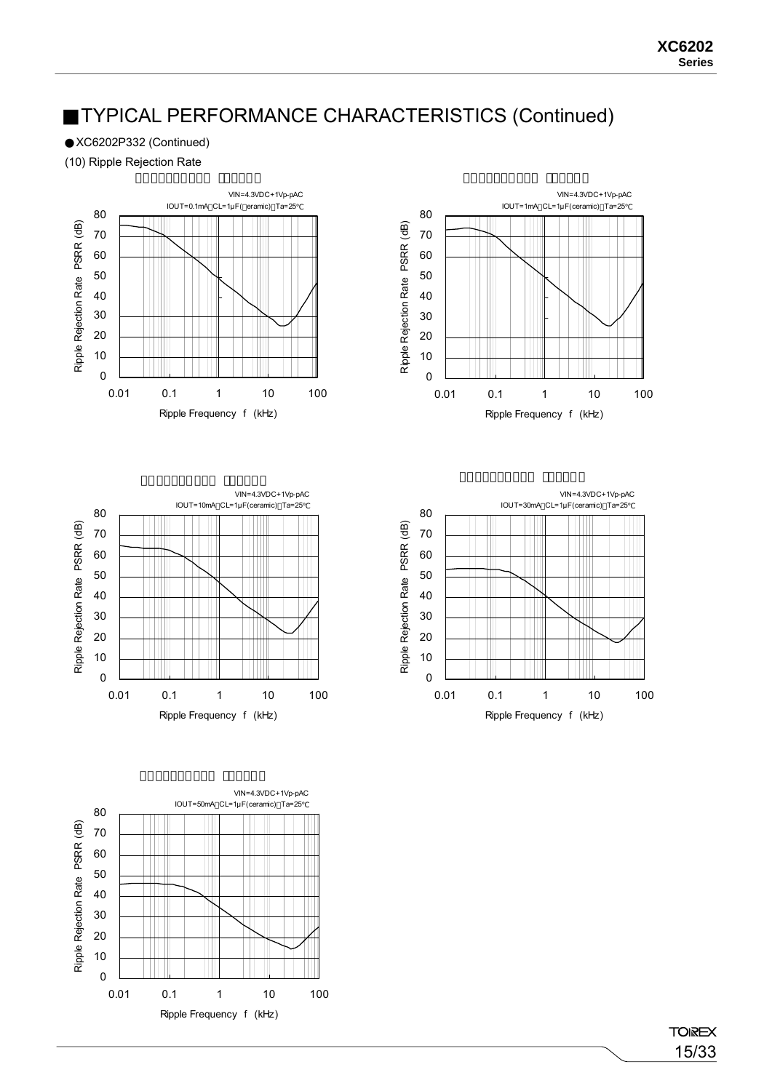XC6202P332 (Continued)

(10) Ripple Rejection Rate











**TOIREX** 15/33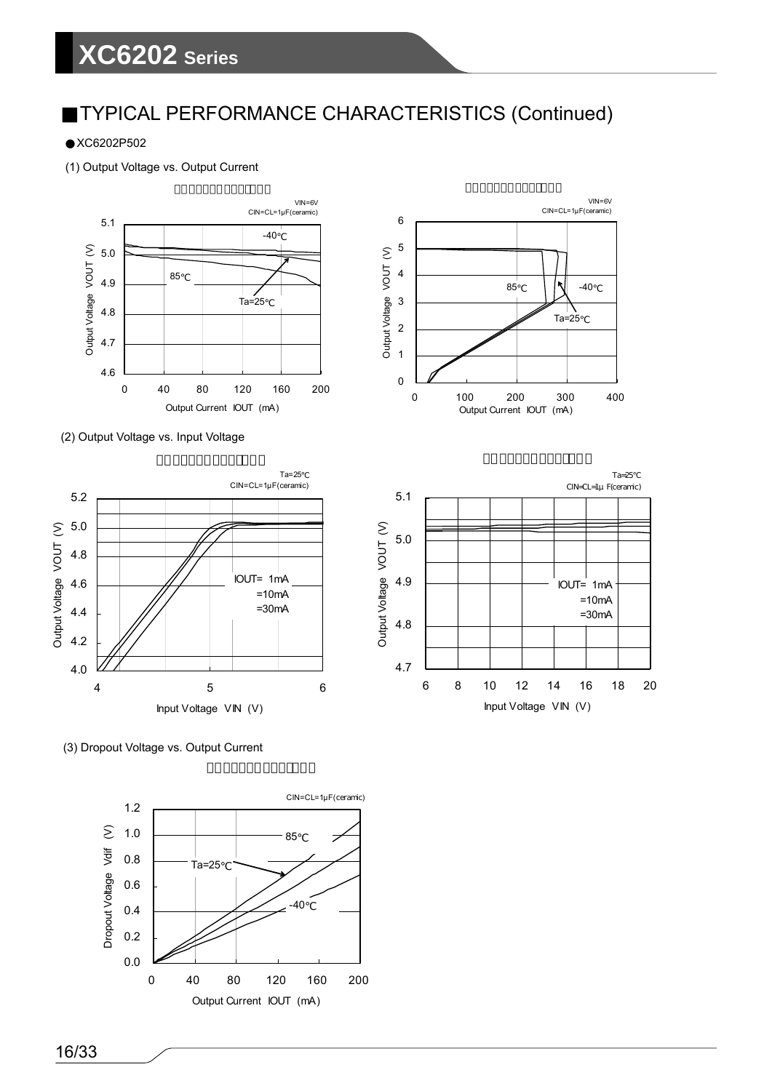# **XC6202 Series**

### TYPICAL PERFORMANCE CHARACTERISTICS (Continued)

2

3

4

5

6

XC6202P502

(1) Output Voltage vs. Output Current



(2) Output Voltage vs. Input Voltage





6 8 10 12 14 16 18 20 Input Voltage VIN (V)

 VIN=6V CIN=CL=1μF(ceramic)

΄ ∣∖<br>Ta=25

 $85$   $\sqrt{\sqrt{2}}$  -40

(3) Dropout Voltage vs. Output Current

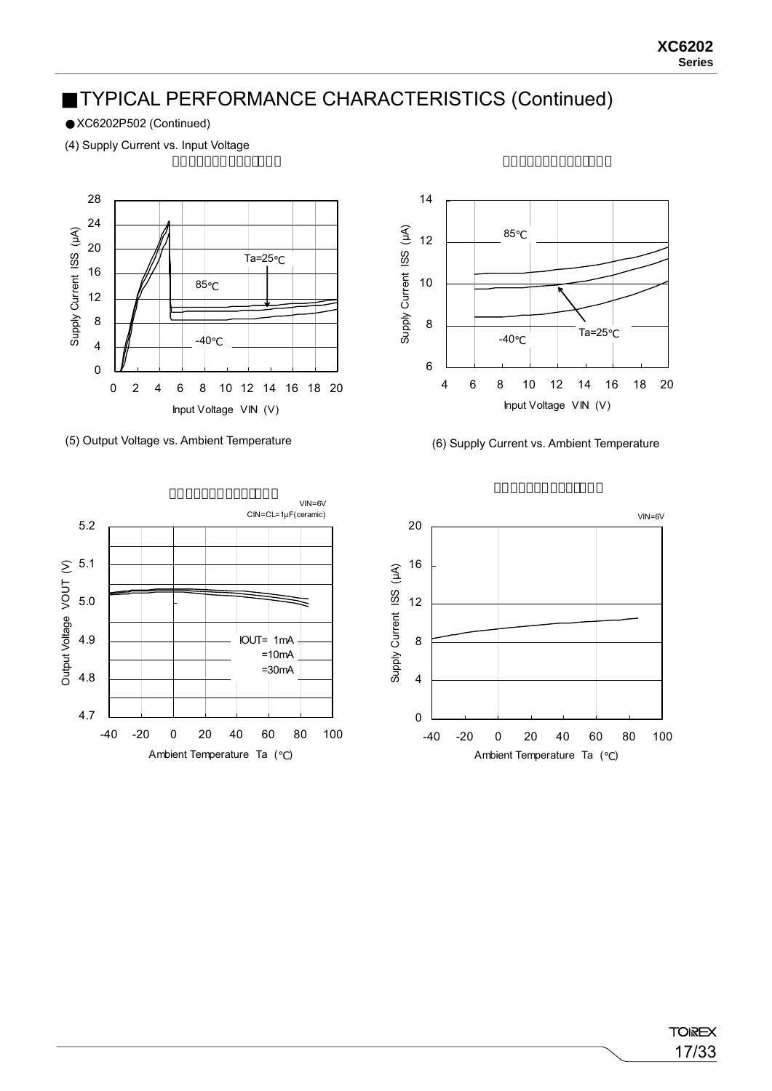XC6202P502 (Continued)

(4) Supply Current vs. Input Voltage







(5) Output Voltage vs. Ambient Temperature (6) Supply Current vs. Ambient Temperature

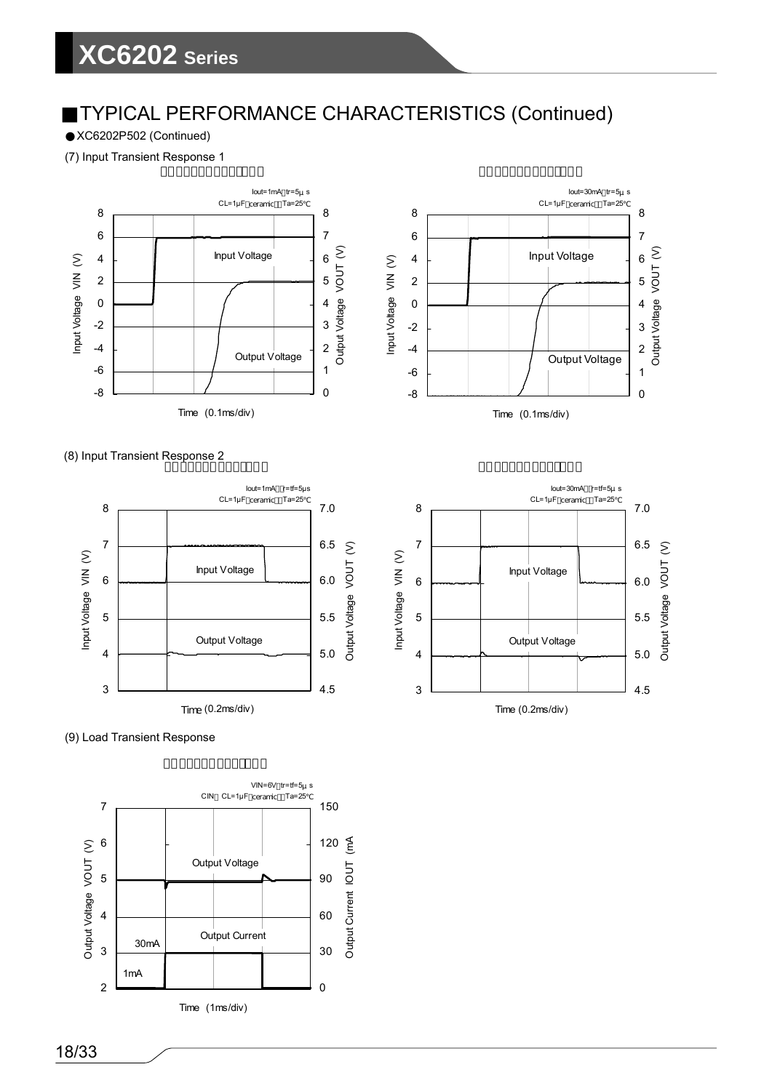XC6202P502 (Continued)

(7) Input Transient Response 1





### (8) Input Transient Response 2





(9) Load Transient Response

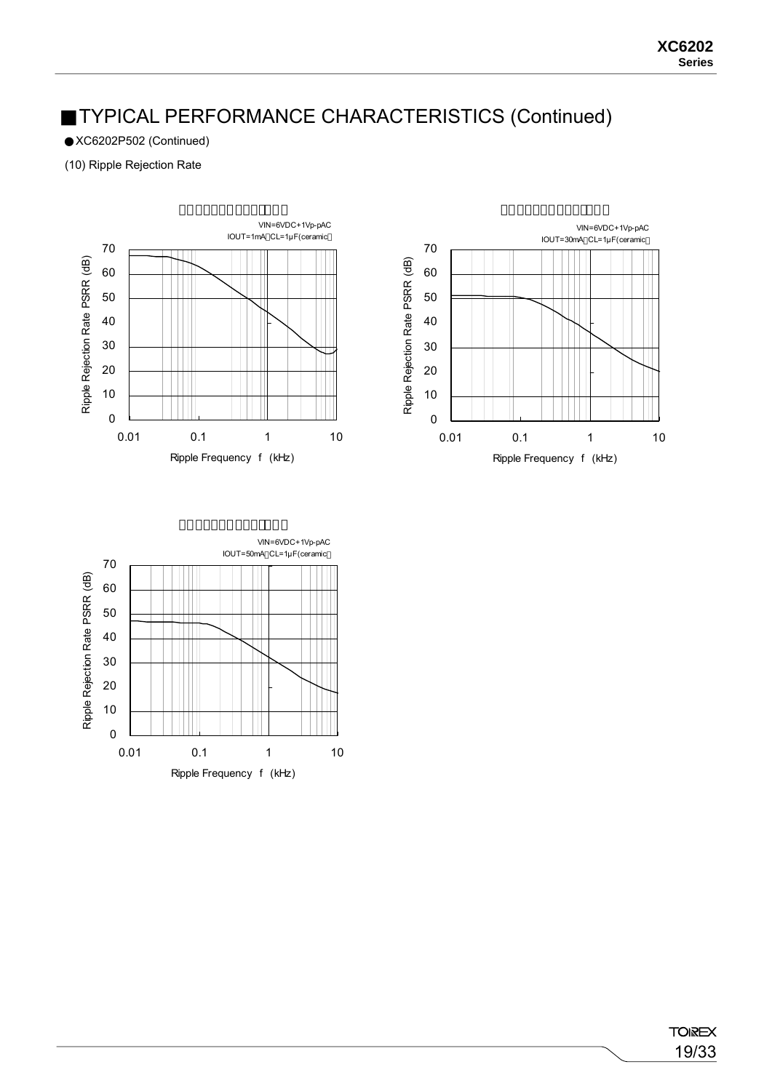XC6202P502 (Continued)

(10) Ripple Rejection Rate





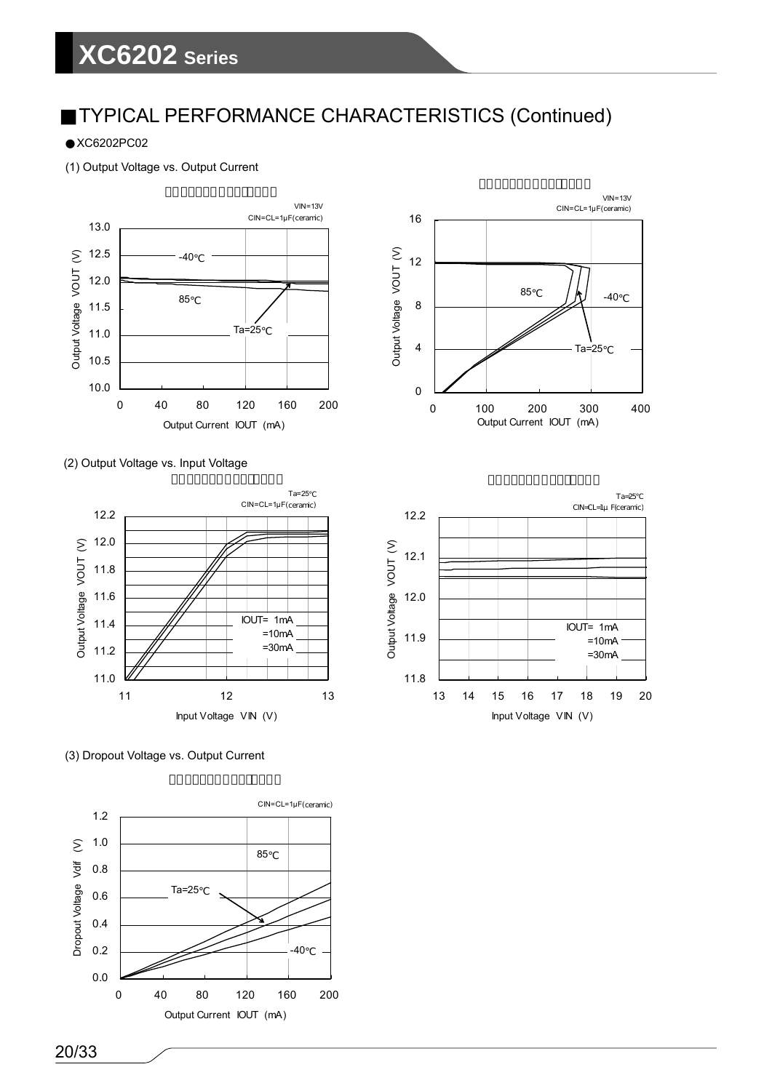XC6202PC02

(1) Output Voltage vs. Output Current







(3) Dropout Voltage vs. Output Current





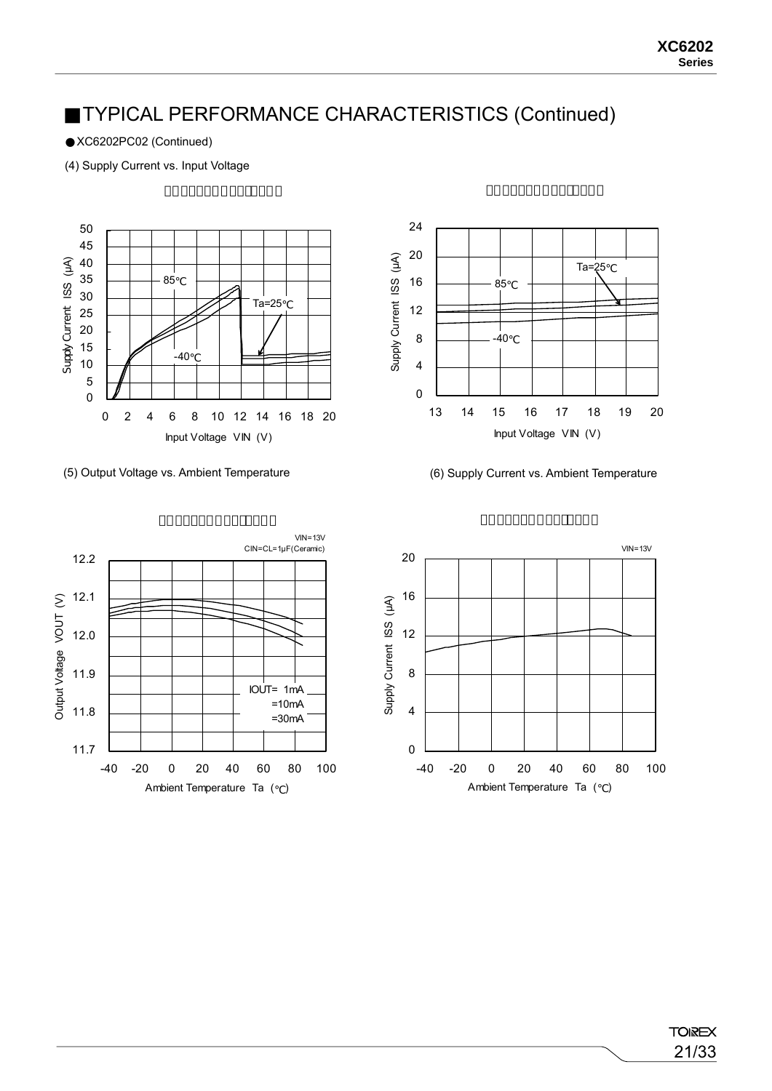XC6202PC02 (Continued)

(4) Supply Current vs. Input Voltage





(5) Output Voltage vs. Ambient Temperature (6) Supply Current vs. Ambient Temperature





**TOIREX** 21/33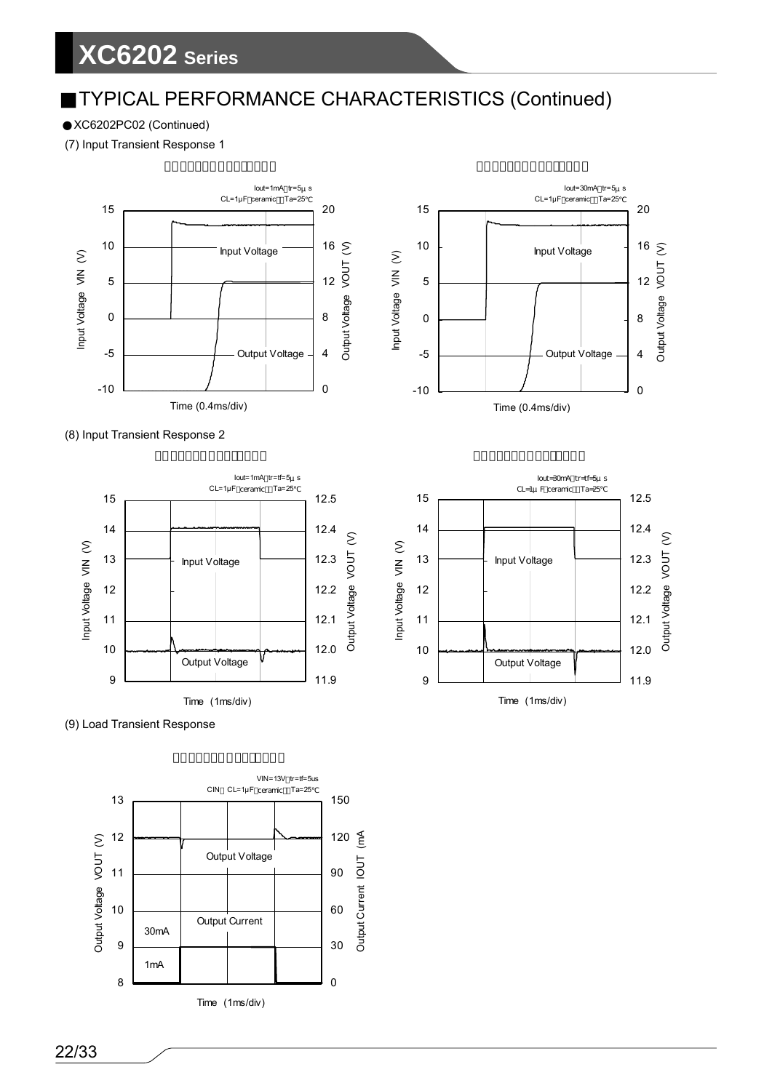XC6202PC02 (Continued)

(7) Input Transient Response 1









0

4

8

12

Output Voltage VOUT (V)

Output Voltage VOUT

 $16 \geq$ 

20

Iout=30mA tr=5μ s CL=1 $\mu$ F ceramic Ta=25

Output Voltage

Input Voltage

(9) Load Transient Response

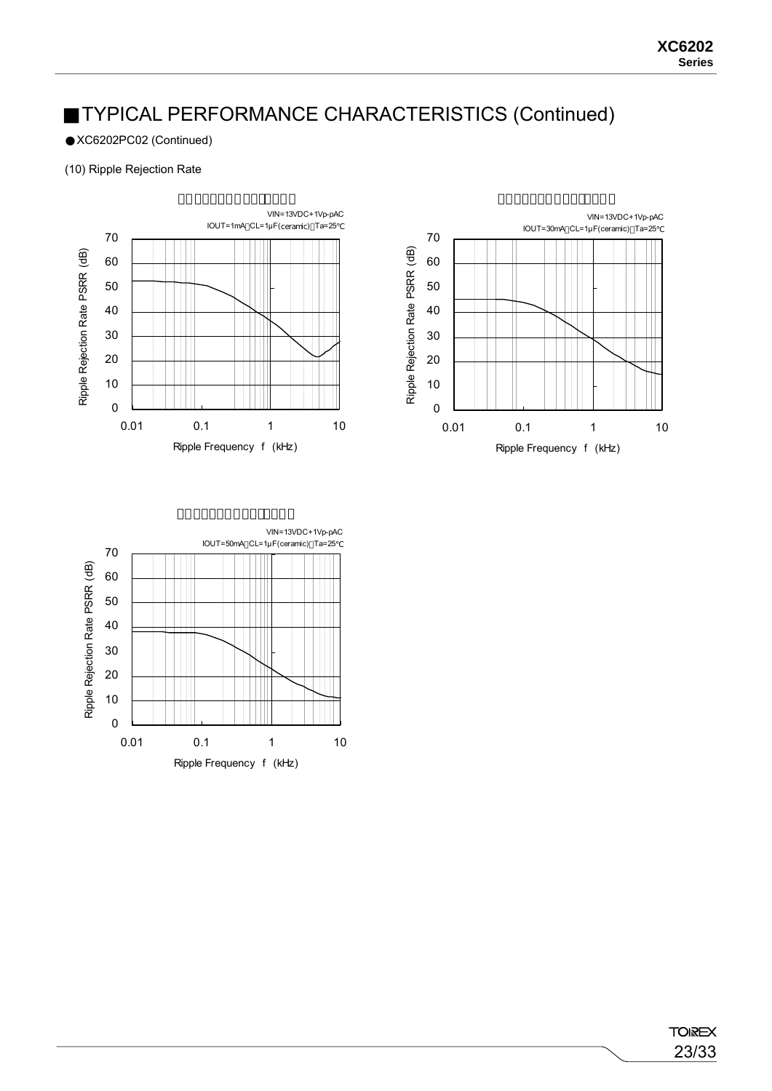XC6202PC02 (Continued)

### (10) Ripple Rejection Rate





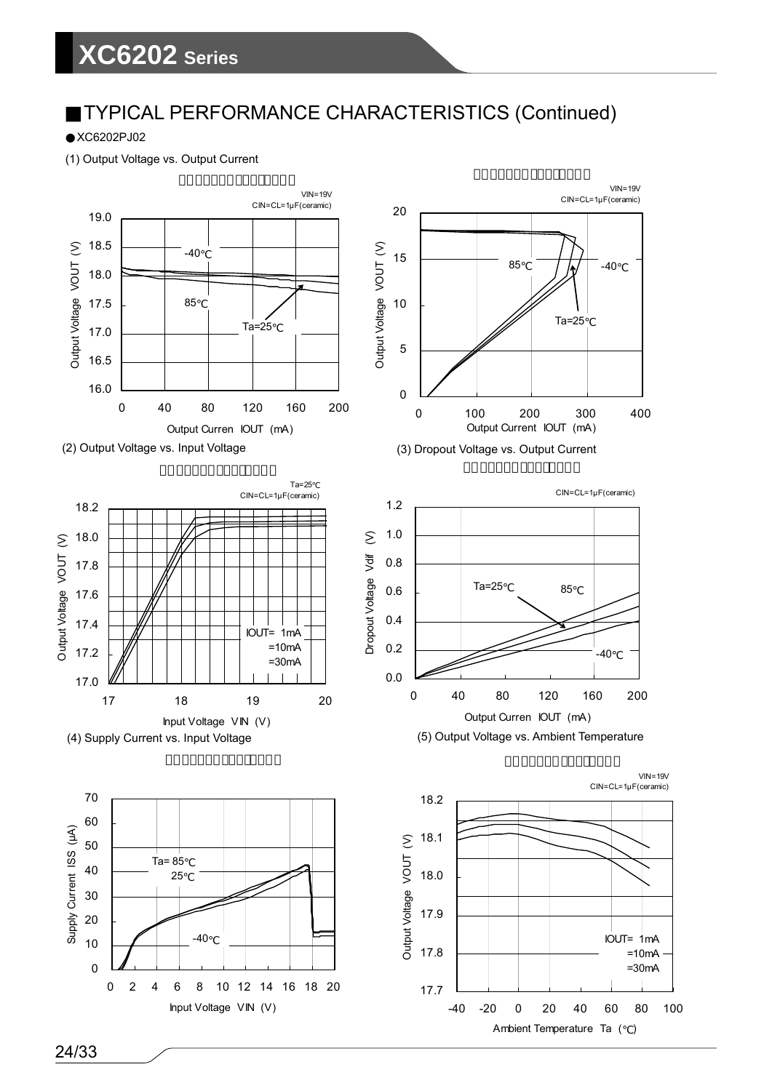## **XC6202 Series**

## TYPICAL PERFORMANCE CHARACTERISTICS (Continued)

XC6202PJ02

(1) Output Voltage vs. Output Current













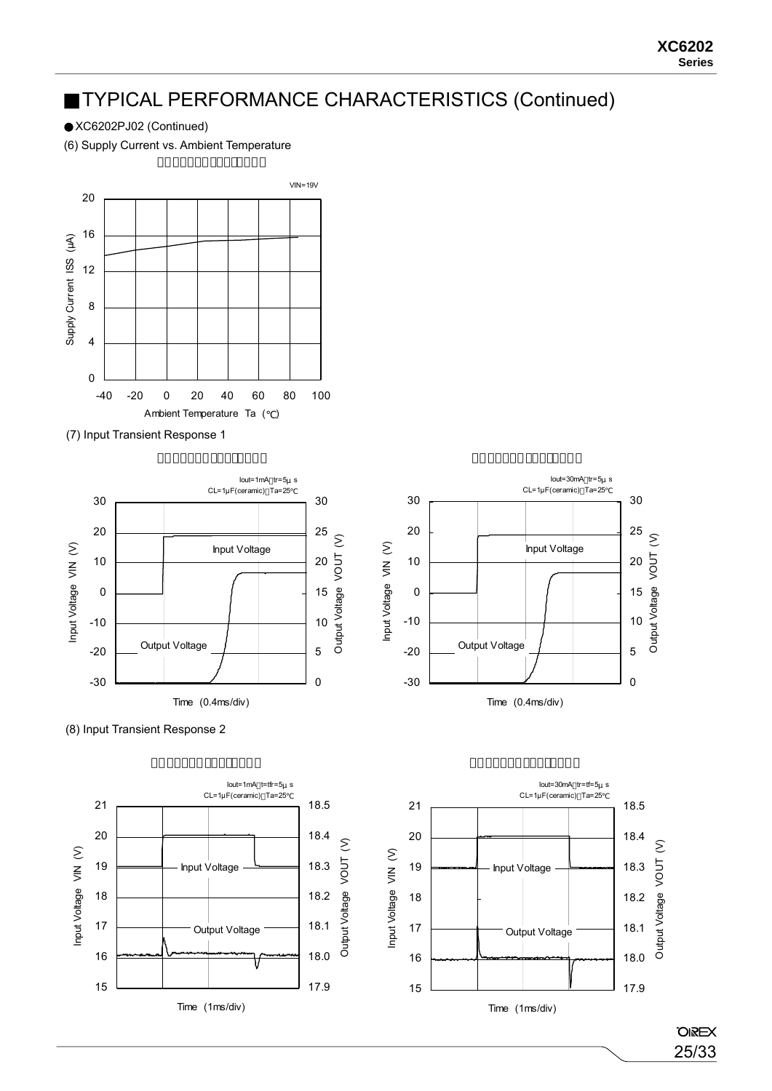XC6202PJ02 (Continued)

(6) Supply Current vs. Ambient Temperature



(7) Input Transient Response 1



**OIREX** 25/33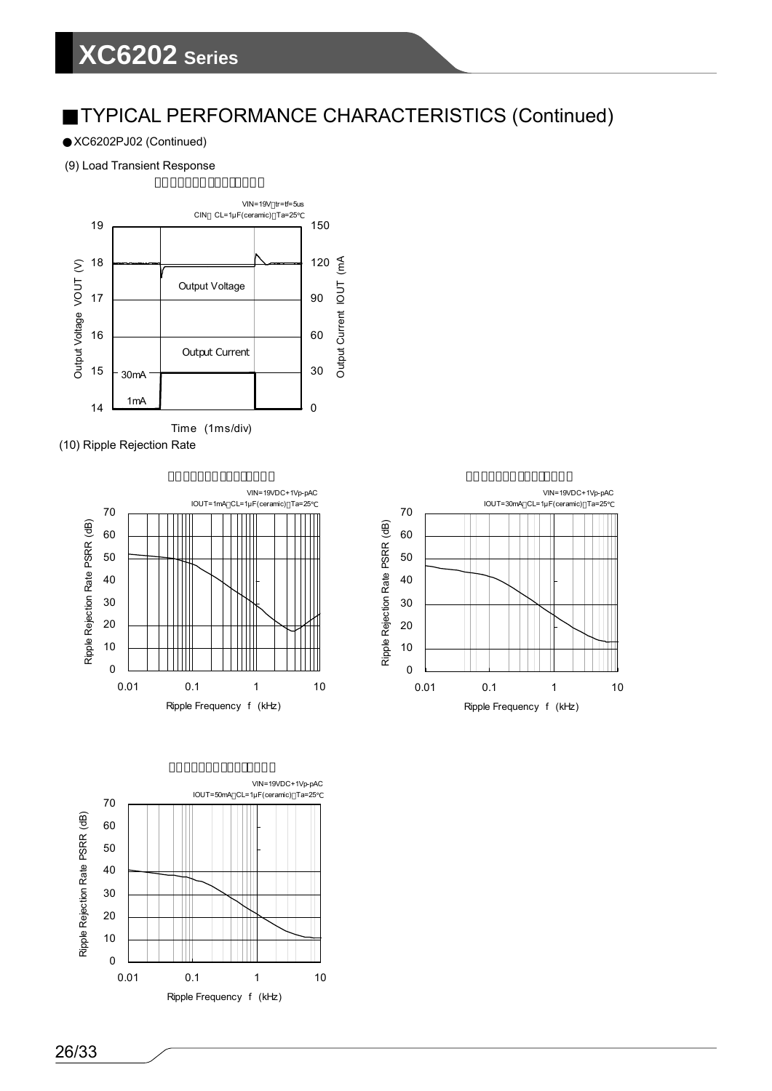XC6202PJ02 (Continued)

(9) Load Transient Response



(10) Ripple Rejection Rate





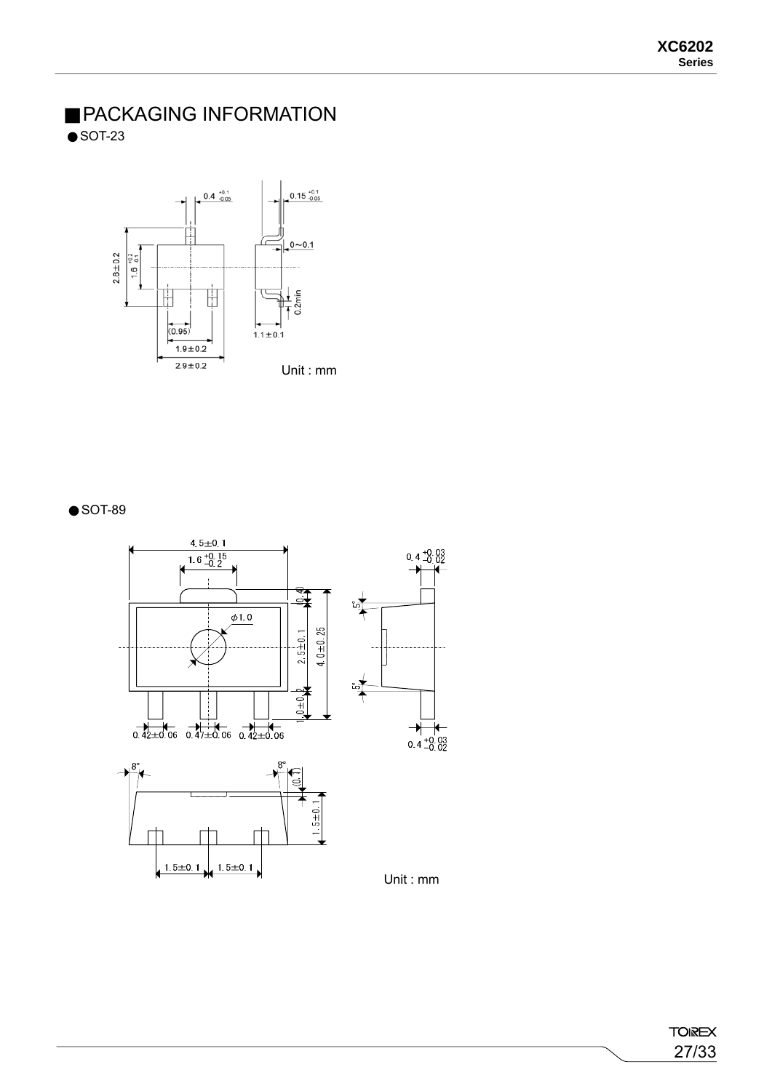### PACKAGING INFORMATION SOT-23



### SOT-89

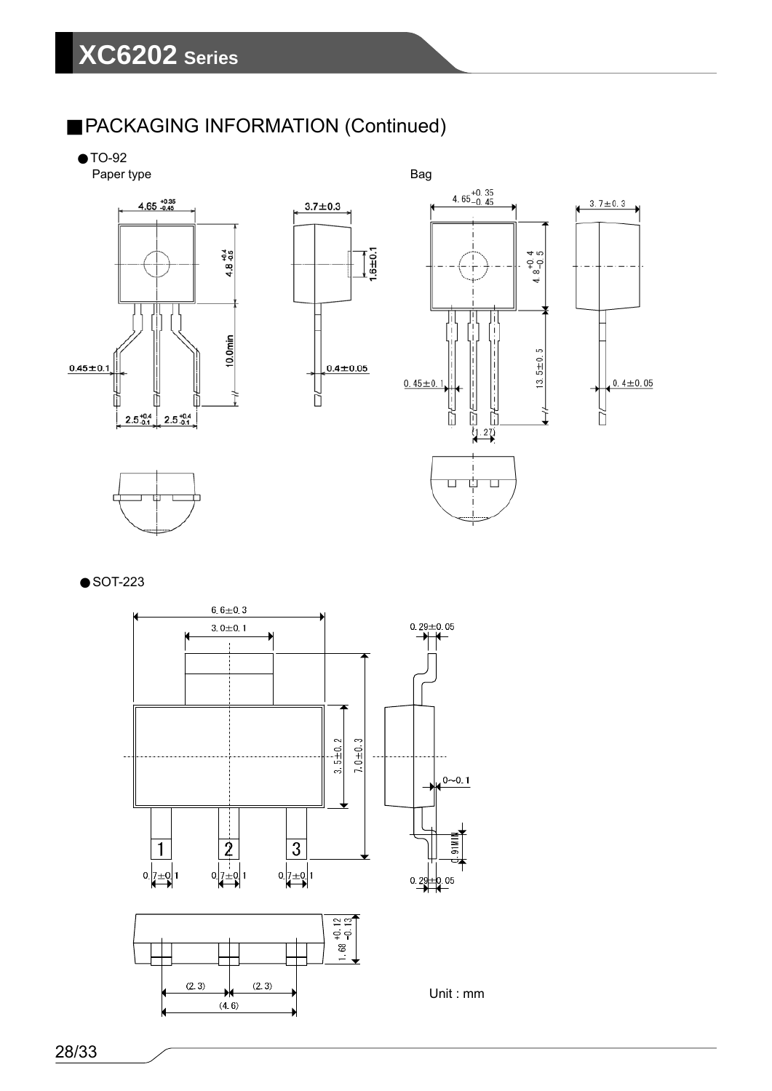## PACKAGING INFORMATION (Continued)

TO-92













28/33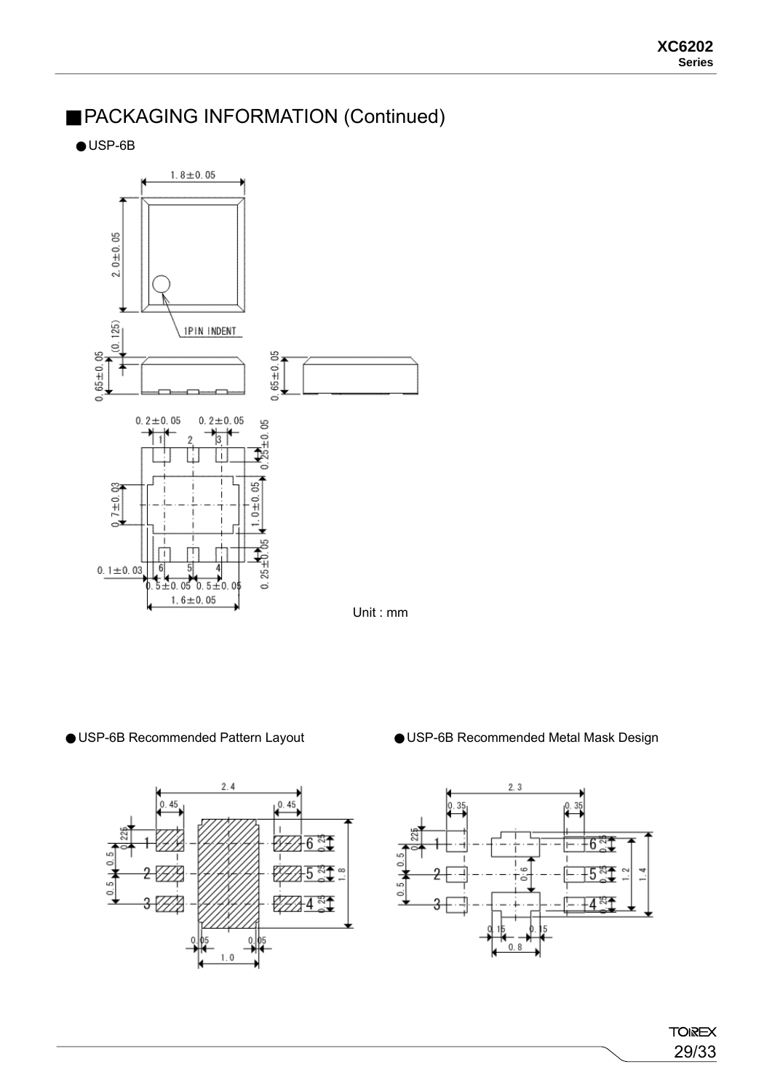### PACKAGING INFORMATION (Continued)

USP-6B



0.5

 $10.5 L$ 

 $2.4$ 

 $0.45$ 

 $-6\frac{37}{6}$ 

5

*₩*₩

শ্ৰ



USP-6B Recommended Pattern Layout USP-6B Recommended Metal Mask Design

**TOIREX** 29/33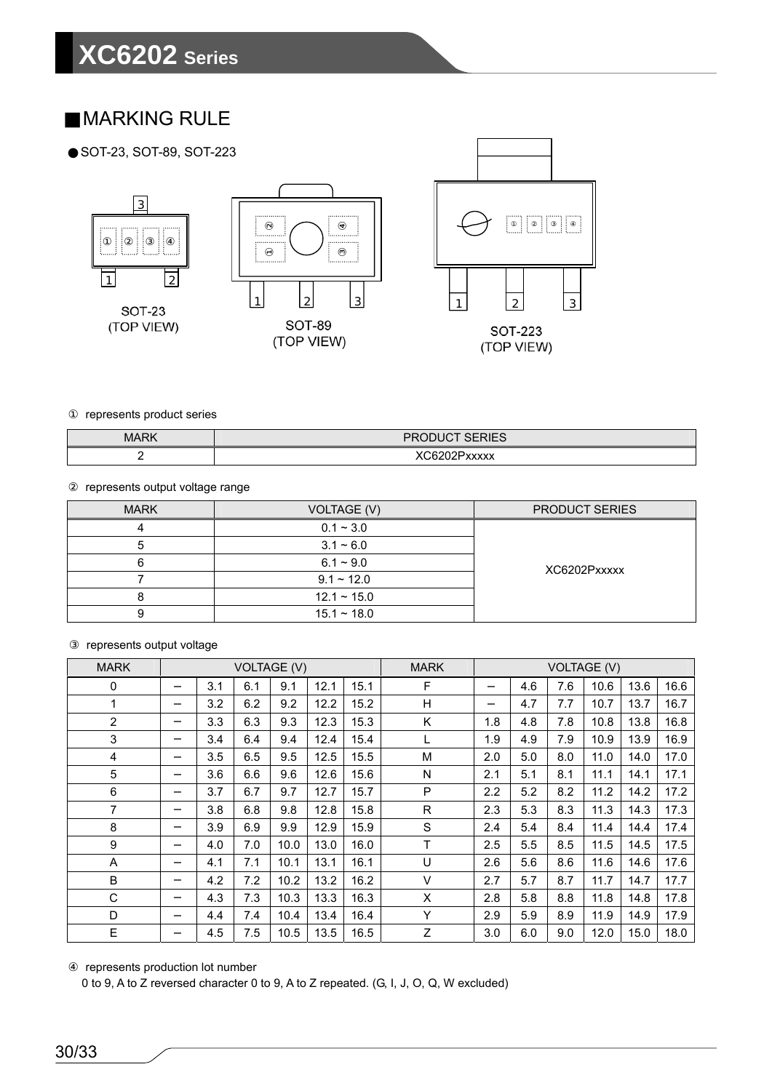### MARKING RULE

SOT-23, SOT-89, SOT-223







represents product series

| <b>MARK</b><br> | 0.0011072070<br>DE<br>৲৷∟৩                                            |
|-----------------|-----------------------------------------------------------------------|
| -               | $\sim$ $\sim$<br>111111<br>- -<br>$\lambda\lambda\lambda\lambda$<br>U |

represents output voltage range

| <b>MARK</b> | VOLTAGE (V)      | <b>PRODUCT SERIES</b> |
|-------------|------------------|-----------------------|
|             | $0.1 - 3.0$      |                       |
| b           | $3.1 - 6.0$      |                       |
| h           | $6.1 \sim 9.0$   | XC6202Pxxxxx          |
|             | $9.1 \sim 12.0$  |                       |
|             | $12.1 \sim 15.0$ |                       |
| g           | $15.1 \sim 18.0$ |                       |

### represents output voltage

| <b>MARK</b>    | <b>VOLTAGE (V)</b> |     |     | <b>MARK</b> |      |      |              | <b>VOLTAGE (V)</b> |     |     |      |      |      |
|----------------|--------------------|-----|-----|-------------|------|------|--------------|--------------------|-----|-----|------|------|------|
| $\mathbf 0$    |                    | 3.1 | 6.1 | 9.1         | 12.1 | 15.1 | F            |                    | 4.6 | 7.6 | 10.6 | 13.6 | 16.6 |
| 1              |                    | 3.2 | 6.2 | 9.2         | 12.2 | 15.2 | H            |                    | 4.7 | 7.7 | 10.7 | 13.7 | 16.7 |
| $\overline{2}$ |                    | 3.3 | 6.3 | 9.3         | 12.3 | 15.3 | Κ            | 1.8                | 4.8 | 7.8 | 10.8 | 13.8 | 16.8 |
| 3              |                    | 3.4 | 6.4 | 9.4         | 12.4 | 15.4 | L            | 1.9                | 4.9 | 7.9 | 10.9 | 13.9 | 16.9 |
| 4              |                    | 3.5 | 6.5 | 9.5         | 12.5 | 15.5 | M            | 2.0                | 5.0 | 8.0 | 11.0 | 14.0 | 17.0 |
| 5              |                    | 3.6 | 6.6 | 9.6         | 12.6 | 15.6 | N            | 2.1                | 5.1 | 8.1 | 11.1 | 14.1 | 17.1 |
| 6              |                    | 3.7 | 6.7 | 9.7         | 12.7 | 15.7 | P            | 2.2                | 5.2 | 8.2 | 11.2 | 14.2 | 17.2 |
| $\overline{7}$ |                    | 3.8 | 6.8 | 9.8         | 12.8 | 15.8 | $\mathsf{R}$ | 2.3                | 5.3 | 8.3 | 11.3 | 14.3 | 17.3 |
| 8              |                    | 3.9 | 6.9 | 9.9         | 12.9 | 15.9 | S            | 2.4                | 5.4 | 8.4 | 11.4 | 14.4 | 17.4 |
| 9              |                    | 4.0 | 7.0 | 10.0        | 13.0 | 16.0 | T            | 2.5                | 5.5 | 8.5 | 11.5 | 14.5 | 17.5 |
| Α              |                    | 4.1 | 7.1 | 10.1        | 13.1 | 16.1 | U            | 2.6                | 5.6 | 8.6 | 11.6 | 14.6 | 17.6 |
| B              |                    | 4.2 | 7.2 | 10.2        | 13.2 | 16.2 | V            | 2.7                | 5.7 | 8.7 | 11.7 | 14.7 | 17.7 |
| С              |                    | 4.3 | 7.3 | 10.3        | 13.3 | 16.3 | X            | 2.8                | 5.8 | 8.8 | 11.8 | 14.8 | 17.8 |
| D              |                    | 4.4 | 7.4 | 10.4        | 13.4 | 16.4 | Y            | 2.9                | 5.9 | 8.9 | 11.9 | 14.9 | 17.9 |
| E              |                    | 4.5 | 7.5 | 10.5        | 13.5 | 16.5 | Z            | 3.0                | 6.0 | 9.0 | 12.0 | 15.0 | 18.0 |

represents production lot number

0 to 9, A to Z reversed character 0 to 9, A to Z repeated. (G, I, J, O, Q, W excluded)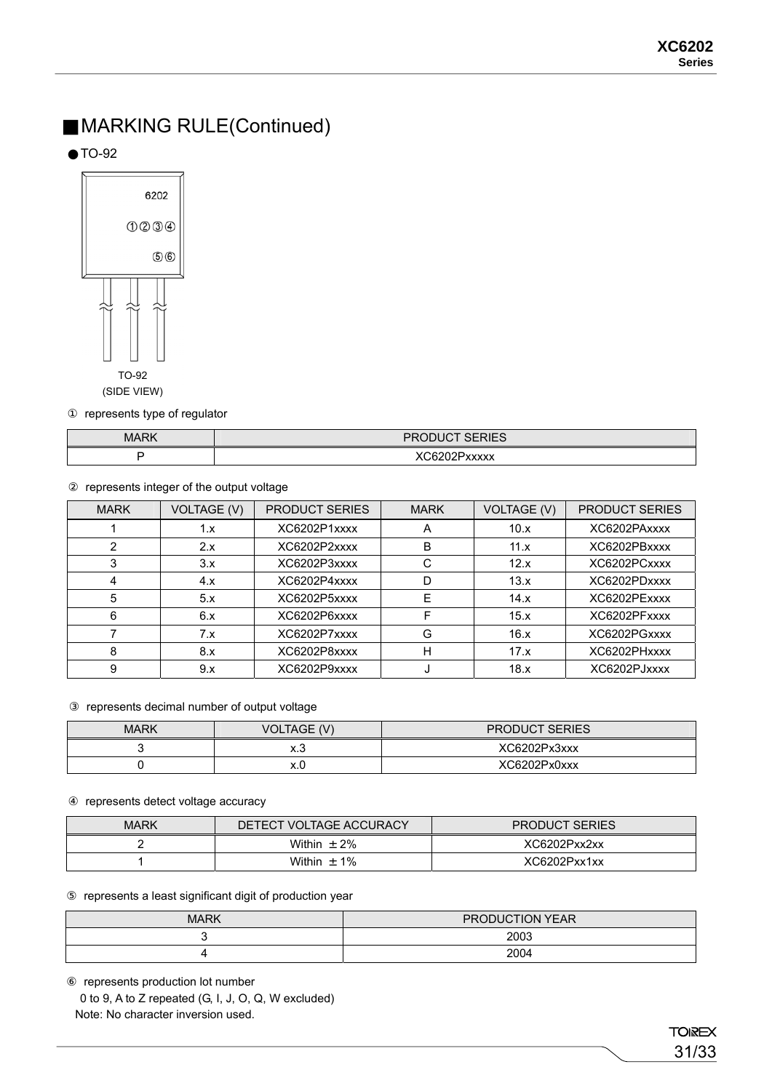### MARKING RULE(Continued)

TO-92



represents type of regulator

| <b>MARK</b><br> | $\sim$<br>DD<br>៶៲∟∪              |
|-----------------|-----------------------------------|
|                 | $\sim$ $\sim$<br>www<br><br>^^^^^ |

represents integer of the output voltage

| <b>MARK</b> | <b>VOLTAGE (V)</b> | <b>PRODUCT SERIES</b> | <b>MARK</b> | <b>VOLTAGE (V)</b> | <b>PRODUCT SERIES</b> |
|-------------|--------------------|-----------------------|-------------|--------------------|-----------------------|
|             | 1.x                | XC6202P1xxxx          | A           | 10.x               | XC6202PAxxxx          |
|             | 2.x                | XC6202P2xxxx          | B           | 11.x               | XC6202PBxxxx          |
|             | 3.x                | XC6202P3xxxx          |             | 12.x               | XC6202PCxxxx          |
|             | 4.x                | XC6202P4xxxx          |             | 13.x               | XC6202PDxxxx          |
| 5           | 5.x                | XC6202P5xxxx          | F           | 14.x               | XC6202PExxxx          |
| 6           | 6.x                | XC6202P6xxxx          | F           | 15.x               | XC6202PFxxxx          |
|             | 7.x                | XC6202P7xxxx          | G           | 16.x               | XC6202PGxxxx          |
| 8           | 8.x                | XC6202P8xxxx          | н           | 17.x               | XC6202PHxxxx          |
| 9           | 9.x                | XC6202P9xxxx          |             | 18.x               | XC6202PJxxxx          |

#### represents decimal number of output voltage

| <b>MARK</b> | <b>VOLTAGE (V)</b> | <b>PRODUCT SERIES</b> |
|-------------|--------------------|-----------------------|
|             | ∧.∪                | XC6202Px3xxx          |
|             | ∧.∪                | XC6202Px0xxx          |

### represents detect voltage accuracy

| <b>MARK</b> | DETECT VOLTAGE ACCURACY | <b>PRODUCT SERIES</b> |
|-------------|-------------------------|-----------------------|
|             | 2%<br>Within<br>$\pm$   | XC6202Pxx2xx          |
|             | $1\%$<br>Within $\pm$   | XC6202Pxx1xx          |

#### represents a least significant digit of production year

| <b>MARK</b> | PRODUCTION YEAR |
|-------------|-----------------|
|             | 2003            |
|             | 2004            |

 represents production lot number 0 to 9, A to Z repeated (G, I, J, O, Q, W excluded) Note: No character inversion used.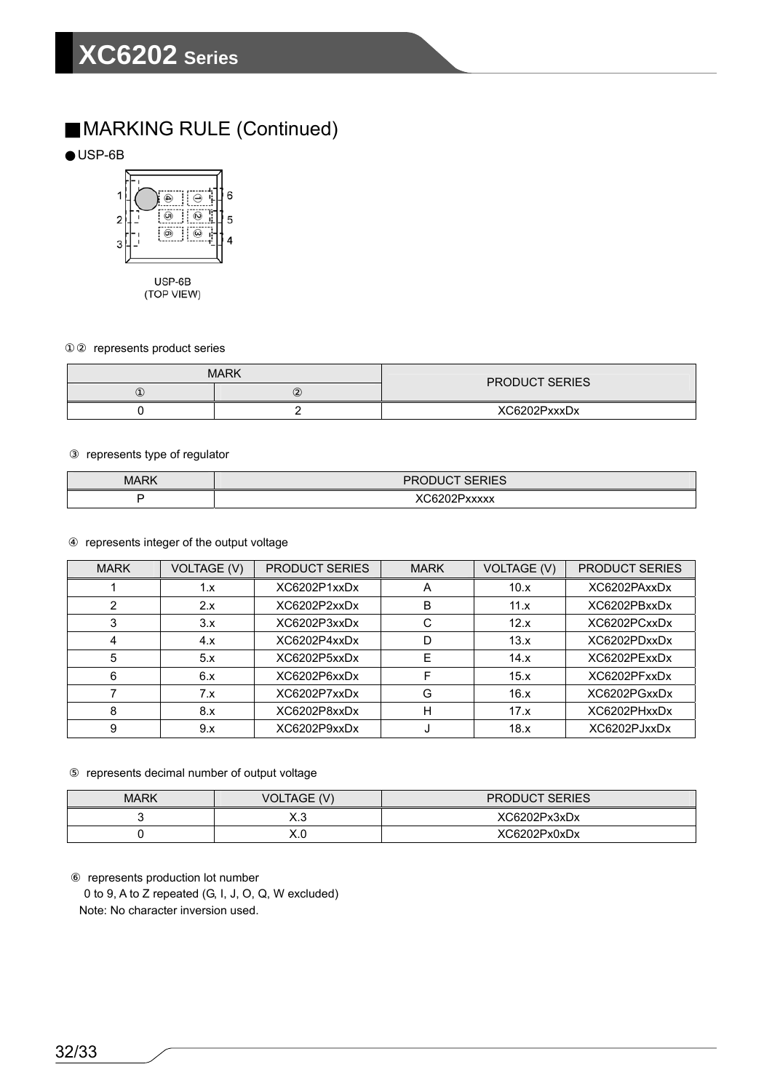### MARKING RULE (Continued)

USP-6B



(TOP VIEW)

represents product series

|  | <b>MARK</b> | <b>PRODUCT SERIES</b> |  |
|--|-------------|-----------------------|--|
|  |             |                       |  |
|  | _           | XC6202PxxxDx          |  |

represents type of regulator

| <b>MARK</b><br> | $-$ -- $-$<br>DЕ<br>⋯ |
|-----------------|-----------------------|
|                 | $-$<br>wvv<br>៱៱៱៱៱   |

represents integer of the output voltage

| <b>MARK</b> | <b>VOLTAGE (V)</b> | <b>PRODUCT SERIES</b> | <b>MARK</b> | <b>VOLTAGE (V)</b> | <b>PRODUCT SERIES</b> |
|-------------|--------------------|-----------------------|-------------|--------------------|-----------------------|
|             | 1.x                | XC6202P1xxDx          | A           | 10.x               | XC6202PAxxDx          |
|             | 2.x                | XC6202P2xxDx          | B           | 11.x               | XC6202PBxxDx          |
|             | 3.x                | XC6202P3xxDx          |             | 12.x               | XC6202PCxxDx          |
| 4           | 4.x                | XC6202P4xxDx          |             | 13.x               | XC6202PDxxDx          |
| 5           | 5.x                | XC6202P5xxDx          | F           | 14.x               | XC6202PExxDx          |
| 6           | 6.x                | XC6202P6xxDx          |             | 15.x               | XC6202PFxxDx          |
|             | 7.x                | XC6202P7xxDx          | G           | 16.x               | XC6202PGxxDx          |
| 8           | 8.x                | XC6202P8xxDx          | н           | 17.x               | XC6202PHxxDx          |
| 9           | 9.x                | XC6202P9xxDx          |             | 18.x               | XC6202PJxxDx          |

represents decimal number of output voltage

| <b>MARK</b> | <b>VOLTAGE (V)</b> | <b>PRODUCT SERIES</b> |
|-------------|--------------------|-----------------------|
| ີ           | ∿.∪                | XC6202Px3xDx          |
|             | ้\.∪               | XC6202Px0xDx          |

represents production lot number

0 to 9, A to Z repeated (G, I, J, O, Q, W excluded)

Note: No character inversion used.